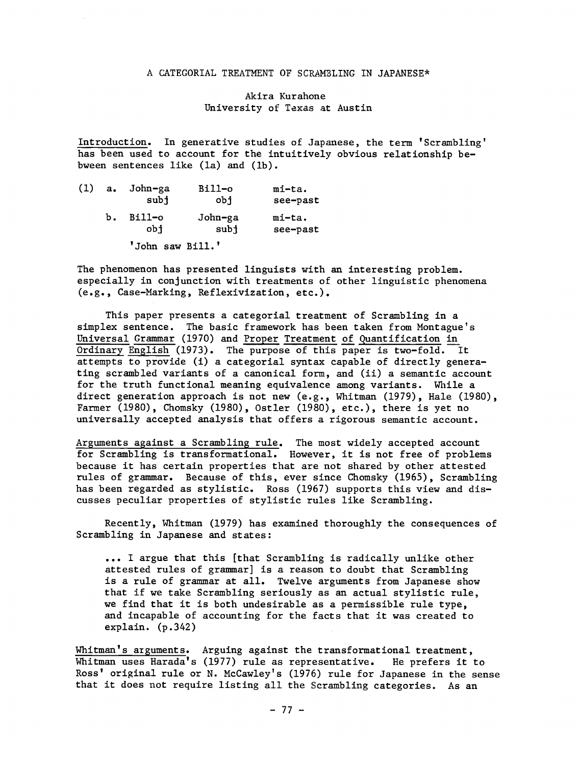## A CATEGORIAL TREATMENT OF SCRAMBLING IN JAPANESE\*

Akira Kurahone University of Texas at Austin

Introduction. In generative studies of Japanese, the term 'Scrambling' has been used to account for the intuitively obvious relationship bebween sentences like (la) and (lb).

|    | (1) a. John-ga<br>subj | Bill-o<br>obi   | mi-ta.<br>see-past |  |
|----|------------------------|-----------------|--------------------|--|
| ь. | Bill-o<br>obi          | John-ga<br>subj | mi-ta.<br>see-past |  |
|    | 'John saw Bill.'       |                 |                    |  |

The phenomenon has presented linguists with an interesting problem. especially in conjunction with treatments of other linguistic phenomena (e.g., Case-Marking, Reflexivization, etc.).

This paper presents a categorial treatment of Scrambling in a simplex sentence. The basic framework has been taken from Montague's Universal Grammar (1970) and Proper Treatment of Quantification in Ordinary English (1973). The purpose of this paper is two-fold. It attempts to provide (i) a categorial syntax capable of directly generating scrambled variants of a canonical form, and (ii) a semantic account for the truth functional meaning equivalence among variants. While a direct generation approach is not new (e.g., Whitman (1979), Hale (1980), Farmer (1980), Chomsky (1980), Ostler (1980), etc.), there is yet no universally accepted analysis that offers a rigorous semantic account.

Arguments against a Scrambling rule. The most widely accepted account for Scrambling is transformational. However, it is not free of problems because it has certain properties that are not shared by other attested rules of grammar. Because of this, ever since Chomsky (1965), Scrambling has been regarded as stylistic. Ross (1967) supports this view and discusses peculiar properties of stylistic rules like Scrambling.

Recently, Whitman (1979) has examined thoroughly the consequences of Scrambling in Japanese and states:

... I argue that this [that Scrambling is radically unlike other attested rules of grammar] is a reason to doubt that Scrambling is a rule of grammar at all. Twelve arguments from Japanese show that if we take Scrambling seriously as an actual stylistic rule, we find that it is both undesirable as a permissible rule type, and incapable of accounting for the facts that it was created to explain. (p.342)

Whitman's arguments. Arguing against the transformational treatment, Whitman uses Harada's (1977) rule as representative. He prefers it to Ross' original rule or N. McCawley's (1976) rule for Japanese in the sense that it does not require listing all the Scrambling categories. As an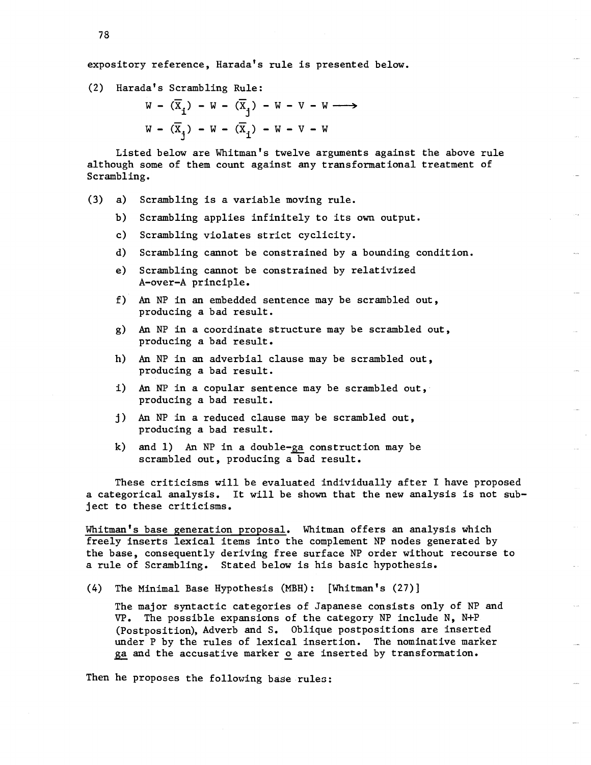expository reference, Harada's rule is presented below.

(2) Harada's Scrambling Rule:

 $W - (\overline{X}_1) - W - (\overline{X}_1) - W - V - W \longrightarrow$  $W - (\overline{X}_1) - W - (\overline{X}_1) - W - V - W$ 

Listed below are Whitman's twelve arguments against the above rule although some of them count against any transformational treatment of Scrambling.

- (3) a) Scrambling is a variable moving rule.
	- b) Scrambling applies infinitely to its own output.
	- c) Scrambling violates strict cyclicity.
	- d) Scrambling cannot be constrained by a bounding condition.
	- e) Scrambling cannot be constrained by relativized A-over-A principle.
	- f) An NP in an embedded sentence may be scrambled out, producing a bad result.
	- g) An NP in a coordinate structure may be scrambled out, producing a bad result.
	- h) An NP in an adverbial clause may be scrambled out, producing a bad result.
	- i) An NP in a copular sentence may be scrambled out, producing a bad result.
	- j) An NP in a reduced clause may be scrambled out, producing a bad result.
	- k) and  $1$ ) An NP in a double-ga construction may be scrambled out, producing a bad result.

These criticisms will be evaluated individually after I have proposed a categorical analysis. It will be shown that the new analysis is not subject to these criticisms.

Whitman's base generation proposal. Whitman offers an analysis which freely inserts lexical items into the complement NP nodes generated by the base, consequently deriving free surface NP order without recourse to a rule of Scrambling. Stated below is his basic hypothesis.

(4) The Minimal Base Hypothesis (MBH): [Whitman's (27)]

The major syntactic categories of Japanese consists only of NP and  $VP.$  The possible expansions of the category NP include N, N+P (Postposition), Adverb and S. Oblique postpositions are inserted under P by the rules of lexical insertion. The nominative marker ga and the accusative marker o are inserted by transformation.

Then he proposes the following base rules: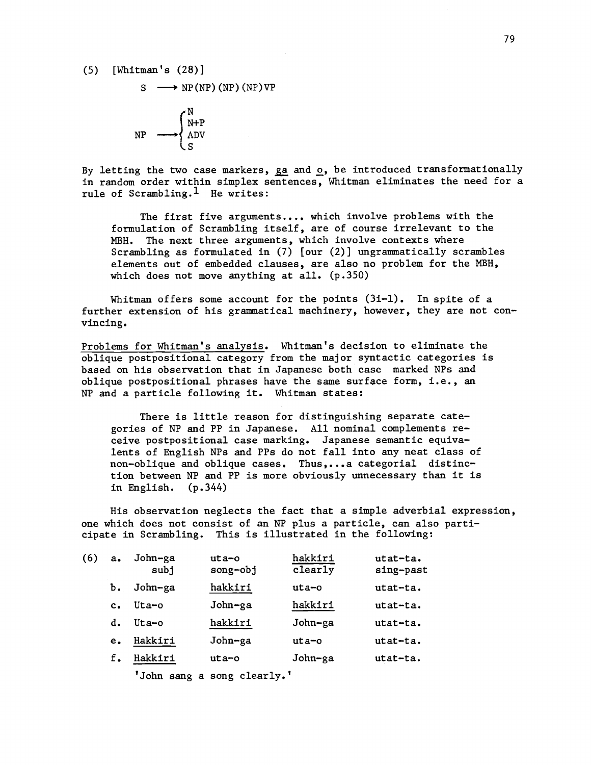(5) [Whitman's (28)]

$$
S \longrightarrow NP(NP) (NP) (NP) VP
$$

$$
NP \longrightarrow \begin{cases} N \\ NP \\ ADV \\ S \end{cases}
$$

By letting the two case markers,  $ga$  and  $o$ , be introduced transformationally in random order within simplex sentences, Whitman eliminates the need for a rule of Scrambling.<sup>1</sup> He writes:

The first five arguments.... which involve problems with the formulation of Scrambling itself, are of course irrelevant to the MBH. The next three arguments, which involve contexts where Scrambling as formulated in (7) [our (2)] ungrammatically scrambles elements out of embedded clauses, are also no problem for the MBH, which does not move anything at all. (p.350)

Whitman offers some account for the points  $(3i-1)$ . In spite of a further extension of his grammatical machinery, however, they are not convincing.

Problems for Whitman's analysis. Whitman's decision to eliminate the oblique postpositional category from the major syntactic categories is based on his observation that in Japanese both case marked NPs and oblique postpositional phrases have the same surface form, i.e., an NP and a particle following it. Whitman states:

There is little reason for distinguishing separate categories of NP and PP in Japanese. All nominal complements receive postpositional case marking. Japanese semantic equivalents of English NPs and PPs do not fall into any neat class of non -oblique and oblique cases. Thus,...a categorial distinction between NP and PP is more obviously unnecessary than it is in English. (p.344)

His observation neglects the fact that a simple adverbial expression, one which does not consist of an NP plus a particle, can also participate in Scrambling. This is illustrated in the following:

| (6) | $a_{\bullet}$ | John-ga<br>subj | $uta-o$<br>$song-obj$ | hakkiri<br>clearly | $utat-ta.$<br>sing-past |
|-----|---------------|-----------------|-----------------------|--------------------|-------------------------|
|     | Ъ.            | John-ga         | hakkiri               | uta-o              | utat-ta.                |
|     | $c_{\bullet}$ | $U$ ta-o        | John-ga               | hakkiri            | $utat-ta.$              |
|     | d.            | $U$ ta-o        | hakkiri               | John-ga            | utat-ta.                |
|     | е.            | Hakkiri         | John-ga               | $uta$ -o           | utat-ta.                |
|     | f.            | Hakkiri         | uta-o                 | John-ga            | utat-ta.                |
|     |               |                 |                       |                    |                         |

'John sang a song clearly.'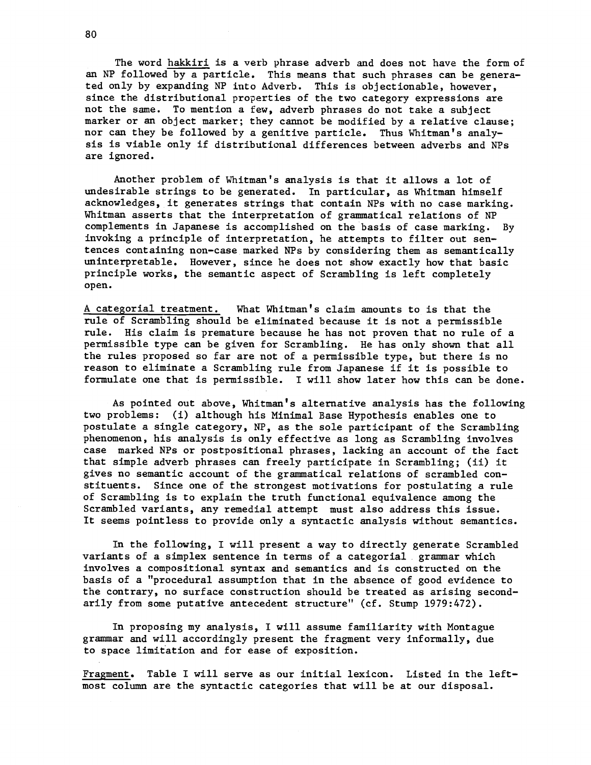The word hakkiri is a verb phrase adverb and does not have the form of an NP followed by a particle. This means that such phrases can be generated only by expanding NP into Adverb. This is objectionable, however, since the distributional properties of the two category expressions are not the same. To mention a few, adverb phrases do not take a subject marker or an object marker; they cannot be modified by a relative clause; nor can they be followed by a genitive particle. Thus Whitman's analysis is viable only if distributional differences between adverbs and NPs are ignored.

Another problem of Whitman's analysis is that it allows a lot of undesirable strings to be generated. In particular, as Whitman himself acknowledges, it generates strings that contain NPs with no case marking. Whitman asserts that the interpretation of grammatical relations of NP complements in Japanese is accomplished on the basis of case marking. By invoking a principle of interpretation, he attempts to filter out sentences containing non-case marked NPs by considering them as semantically uninterpretable. However, since he does not show exactly how that basic principle works, the semantic aspect of Scrambling is left completely open.

A categorial treatment. What Whitman's claim amounts to is that the rule of Scrambling should be eliminated because it is not a permissible rule. His claim is premature because he has not proven that no rule of a permissible type can be given for Scrambling. He has only shown that all the rules proposed so far are not of a permissible type, but there is no reason to eliminate a Scrambling rule from Japanese if it is possible to formulate one that is permissible. I will show later how this can be done.

As pointed out above, Whitman's alternative analysis has the following two problems: (i) although his Minimal Base Hypothesis enables one to postulate a single category, NP, as the sole participant of the Scrambling phenomenon, his analysis is only effective as long as Scrambling involves case marked NPs or postpositional phrases, lacking an account of the fact that simple adverb phrases can freely participate in Scrambling; (ii) it gives no semantic account of the grammatical relations of scrambled constituents. Since one of the strongest motivations for postulating a rule of Scrambling is to explain the truth functional equivalence among the Scrambled variants, any remedial attempt must also address this issue. It seems pointless to provide only a syntactic analysis without semantics.

In the following, I will present a way to directly generate Scrambled variants of a simplex sentence in terms of a categorial . grammar which involves a compositional syntax and semantics and is constructed on the basis of a "procedural assumption that in the absence of good evidence to the contrary, no surface construction should be treated as arising secondarily from some putative antecedent structure" (cf. Stump 1979:472).

In proposing my analysis, I will assume familiarity with Montague grammar and will accordingly present the fragment very informally, due to space limitation and for ease of exposition.

Fragment. Table I will serve as our initial lexicon. Listed in the leftmost column are the syntactic categories that will be at our disposal.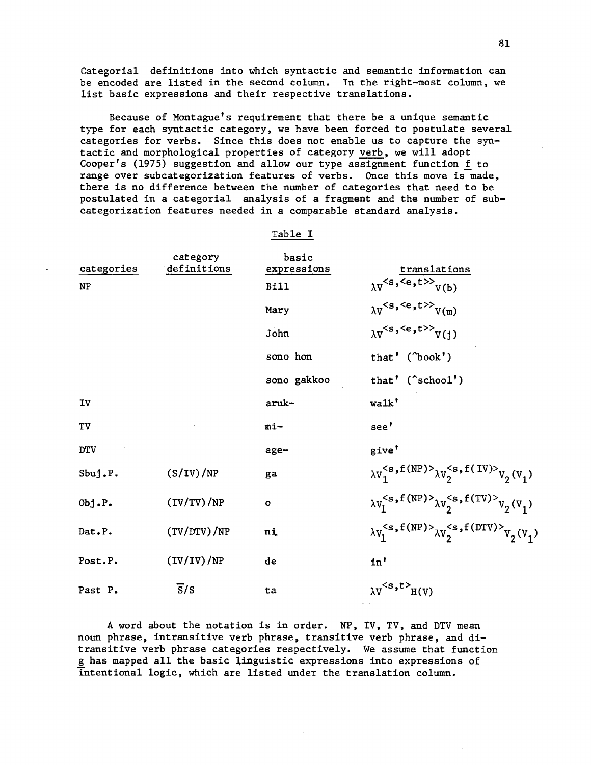Categorial definitions into which syntactic and semantic information can be encoded are listed in the second column. In the right-most column, we list basic expressions and their respective translations.

Because of Montague's requirement that there be a unique semantic type for each syntactic category, we have been forced to postulate several categories for verbs. Since this does not enable us to capture the syntactic and morphological properties of category verb, we will adopt Cooper's (1975) suggestion and allow our type assignment function f to range over subcategorization features of verbs. Once this move is made, there is no difference between the number of categories that need to be postulated in a categorial analysis of a fragment and the number of subcategorization features needed in a comparable standard analysis.

## Table I

| categories | category<br>definitions | basic<br>expressions | translations                                                                             |
|------------|-------------------------|----------------------|------------------------------------------------------------------------------------------|
| NP         |                         | <b>Bill</b>          | $\lambda Vs,4,t>>V(b)$                                                                   |
|            |                         | Mary                 | $\lambda v < s, \leq e, t >> v(m)$                                                       |
|            |                         | John                 | $\lambda v < s, \langle e, t \rangle >$<br>$V(j)$                                        |
|            |                         | sono hon             | that' (^book')                                                                           |
|            |                         | sono gakkoo          | that' $(\text{^}$ school')                                                               |
| IV         |                         | aruk-                | walk'                                                                                    |
| TV         |                         | $mi-$                | see'                                                                                     |
| <b>DTV</b> |                         | age-                 | give'                                                                                    |
| Sbuj.P.    | (S/IV)/NP               | ga                   | $\lambda v_1^{\langle s, f(MP) \rangle} \lambda v_2^{\langle s, f(IV) \rangle} v_2(v_1)$ |
| Obj.P.     | (IV/TV)/NP              | $\circ$              | $\lambda v_1^{\leq s, f(NP)} \lambda v_2^{\leq s, f(TV)} v_2(v_1)$                       |
| Dat.P.     | (TV/DTV)/NP             | nį                   | $\lambda v_1^{\leq s, f(NP)>}\lambda v_2^{\leq s, f(DTV)>}v_2(v_1)$                      |
| Post.P.    | (IV/IV)/NP              | de                   | in'                                                                                      |
| Past P.    | $\overline{s}/s$        | ta                   | $\lambda V^{}$ H(V)                                                                      |

A word about the notation is in order. NP, IV, TV, and DTV mean noun phrase, intransitive verb phrase, transitive verb phrase, and ditransitive verb phrase categories respectively. We assume that function g has mapped all the basic linguistic expressions into expressions of intentional logic, which are listed under the translation column.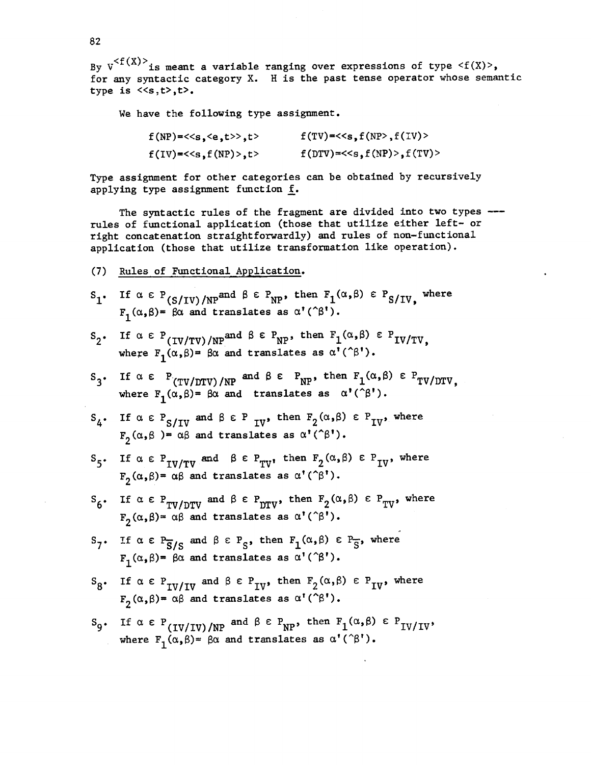By  $v^{< f(X)>}$  is meant a variable ranging over expressions of type  $\le f(X)>$ , for any syntactic category X. H is the past tense operator whose semantic type is  $\langle s,t\rangle$ ,  $t\rangle$ .

We have the following type assignment.

| $f(NP) = <>, t>$                                          | $f(TV) = <, f(TV))$ |
|-----------------------------------------------------------|---------------------|
| $f(IV)$ =< <s,<math>f(NP) &gt; f,<math>t</math></s,<math> | $f(DTV) = < f(TV)$  |

Type assignment for other categories can be obtained by recursively applying type assignment function f.

The syntactic rules of the fragment are divided into two types --rules of functional application (those that utilize either left- or right concatenation straightforwardly) and rules of non-functional application (those that utilize transformation like operation).

(7) Rules of Functional Application.

$$
S_1
$$
 if  $\alpha \in P_{(S/IV)/NP}^{\text{and } \beta \in P_{NP}}$ , then  $F_1(\alpha, \beta) \in P_{S/IV}$ , where  $F_1(\alpha, \beta) = \beta \alpha$  and translates as  $\alpha'(\beta')$ .

$$
S_2
$$
. If  $\alpha \in P_{(IV/TV)/NP}^{\text{and } \beta \in P_{NP}}$ , then  $F_1(\alpha, \beta) \in P_{IV/TV}$ ,  
where  $F_1(\alpha, \beta) = \beta\alpha$  and translates as  $\alpha'(\beta')$ .

S<sub>3</sub>. If  $\alpha \in P_{(TV/DTV)/NP}$  and  $\beta \in P_{NP}$ , then  $F_1(\alpha, \beta) \in P_{TV/DTV}$ , where  $F_1(\alpha,\beta) = \beta\alpha$  and translates as  $\alpha^*(\hat{\beta}^*)$ .

$$
S_4
$$
. If  $\alpha \in P_{S/IV}$  and  $\beta \in P_{IV}$ , then  $F_2(\alpha, \beta) \in P_{IV}$ , where  $F_2(\alpha, \beta) = \alpha\beta$  and translates as  $\alpha'(\hat{\beta}')$ .

$$
S_5
$$
. If  $\alpha \in P_{IV/TV}$  and  $\beta \in P_{TV}$ , then  $F_2(\alpha, \beta) \in P_{IV}$ , where  
 $F_2(\alpha, \beta) = \alpha\beta$  and translates as  $\alpha'(\hat{\beta}')$ .

- $S_6$ . If  $\alpha \in P_{TV/DTV}$  and  $\beta \in P_{DTV}$ , then  $F_2(\alpha, \beta) \in P_{TV}$ , where  $F_2(\alpha,\beta) = \alpha\beta$  and translates as  $\alpha'(\hat{\beta}')$ .
- $S_7$ . If  $\alpha \in P_{\overline{S}/S}$  and  $\beta \in P_S$ , then  $F_1(\alpha, \beta) \in P_{\overline{S}}$ , where  $F_1(\alpha,\beta)$  =  $\beta\alpha$  and translates as  $\alpha'(\hat{\beta}')$ .
- $S_8$ . If  $\alpha \in P_{IV/IV}$  and  $\beta \in P_{IV}$ , then  $F_2(\alpha, \beta) \in P_{IV}$ , where  $F_2(\alpha,\beta) = \alpha\beta$  and translates as  $\alpha'(\hat{\beta}^t)$ .
- $S_9$ . If  $\alpha \in P_{(IV/IV)/NP}$  and  $\beta \in P_{NP}$ , then  $F_1(\alpha, \beta) \in P_{IV/IV}$ , where  $F_1(\alpha,\beta) = \beta\alpha$  and translates as  $\alpha'(\hat{\beta}')$ .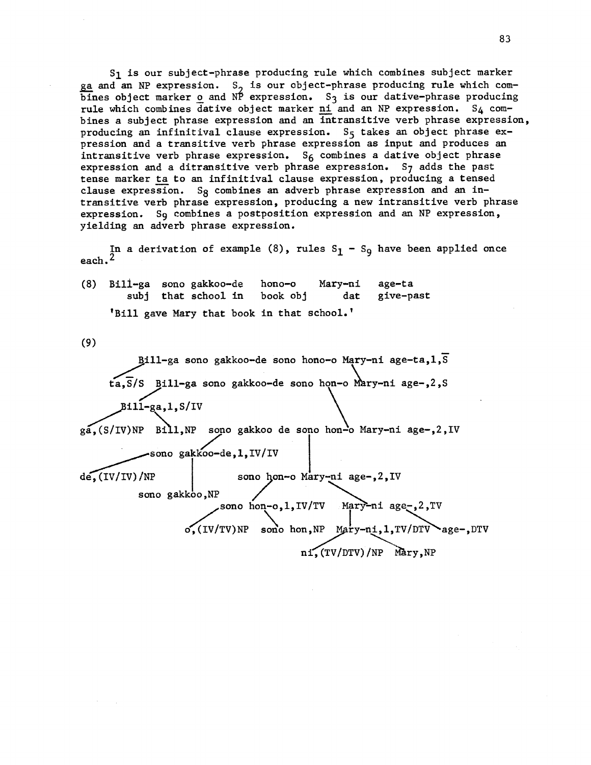S1 is our subject-phrase producing rule which combines subject marker ga and an NP expression. S<sub>2</sub> is our object-phrase producing rule which combines object marker o and  $N^{\circ}$  expression. S<sub>3</sub> is our dative-phrase producing rule which combines dative object marker ni and an NP expression.  $S_4$  combines a subject phrase expression and an intransitive verb phrase expression, producing an infinitival clause expression.  $S_5$  takes an object phrase expression and a transitive verb phrase expression as input and produces an intransitive verb phrase expression.  $S_6$  combines a dative object phrase expression and a ditransitive verb phrase expression. S7 adds the past tense marker ta to an infinitival clause expression, producing a tensed clause expression. Sg combines an adverb phrase expression and an intransitive verb phrase expression, producing a new intransitive verb phrase expression. Sg combines a postposition expression and an NP expression, yielding an adverb phrase expression.

In a derivation of example (8), rules  $S_1 - S_9$  have been applied once each.2

(8) Bill-ga sono gakkoo-de hono-o Mary-ni age-ta subj that school in book obj dat give-past 'Bill gave Mary that book in that school.'

(9)

Bill-ga sono gakkoo-de sono hono-o Mary-ni age-ta, 1, S  $ta, S/S$  Bill-ga sono gakkoo-de sono hon-o Mary-ni age-,2,S  $B$ ill-ga,1,S/IV ga, (S/IV)NP Bill, NP sono gakkoo de sono hon<sup>1</sup>o Mary-ni age-, 2, IV -sono gakkoo-de,1,IV/IV sono gakkoo,NP de,  $(IV/IV)/NP$  sono hon-o Mary-ni age-, 2, IV sono hon-o,1,IV/TV Mary-ni age-,2,TV  $\sigma$ , (IV/TV)NP sono hon, NP Mary-ni, 1, TV/DTV age-, DTV  $ni$ ,  $(TV/DTV)/NP$  Mary, NP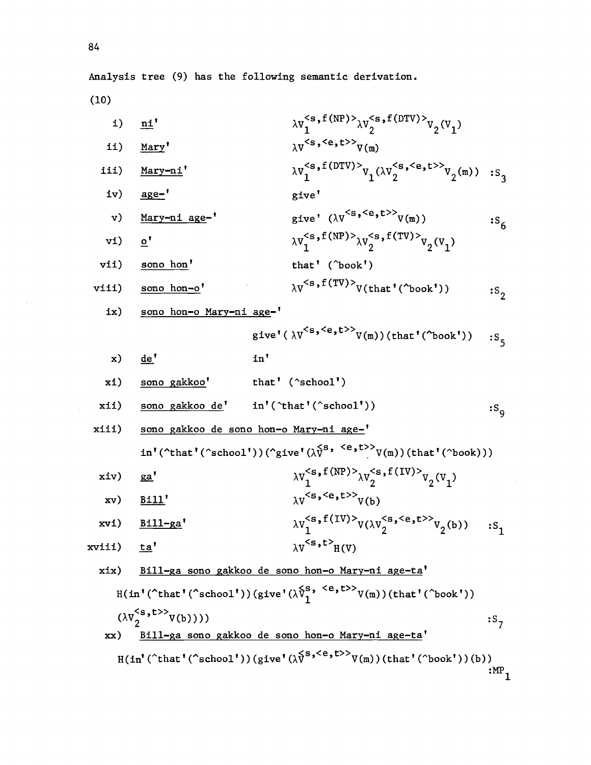(10)

 $\mathcal{L}^{\mathcal{L}}$ 

i) 
$$
\underline{m}i
$$
  $\lambda V_{s}^{c_{s,f}(\text{NP})} \lambda V_{2}^{c_{s,f}(\text{DPV})} \nu_{2}(V_{1})$   
\nii)  $\underline{Mary}$   $\lambda V_{s}^{c_{s,c}}(t) \nu_{2}(W_{1})$   
\niii)  $\underline{Mary-ni}$   $\lambda V_{1}^{c_{s,c}}(t) \nu_{2}(W_{2}) \nu_{2}(W_{1})$  is  
\niv)  $\underline{age^{-1}}$  give  
\nv)  $\underline{Mary-ni}$  age<sup>-1</sup> give  
\nv)  $\underline{Mary-ni}$  age<sup>-1</sup> give  
\nvi)  $\underline{e'}$  give  
\nvi)  $\underline{e'}$   $\lambda V_{1}^{c_{s,f}(\text{NP})} \lambda V_{2}^{c_{s,f}(\text{TP})} \nu_{2}(V_{1})$   
\nvi)  $\underline{e'}$   $\lambda V_{1}^{c_{s,f}(\text{NP})} \lambda V_{2}^{c_{s,f}(\text{TP})} \nu_{2}(V_{1})$   
\nvi)  $\underline{e'}$  that' (°book')  $\lambda V_{2}^{c_{s,f}(\text{TP})} \nu_{2}(V_{1})$   
\nvi)  $\underline{e'}$  the  
\n*give'*  $(\lambda V^{c_{s,c}}(t) \nu_{2}(W_{1}))$  (that' (°book'))  $\mu_{2}$   
\nix)  $\underline{e'}$  the  
\n*h*  $\underline{e'}$  the  
\n*h*  $\underline{e'}$  the  
\n*h*  $\underline{e'}$  the  
\n*h*  $\underline{e'}$  the  
\n*h*  $\underline{e'}$  the  
\n*h*  $\underline{e'}$  the  
\n*h*  $\underline{e'}$  the  
\n*h*  $\underline{e'}$  the  
\n*h*  $\underline{e'}$  the  
\n*h*  $\underline{e'}$  the  
\n*h*  $\underline{e'}$  the  
\n*h*  $\underline{e'}$  the  
\n*h* <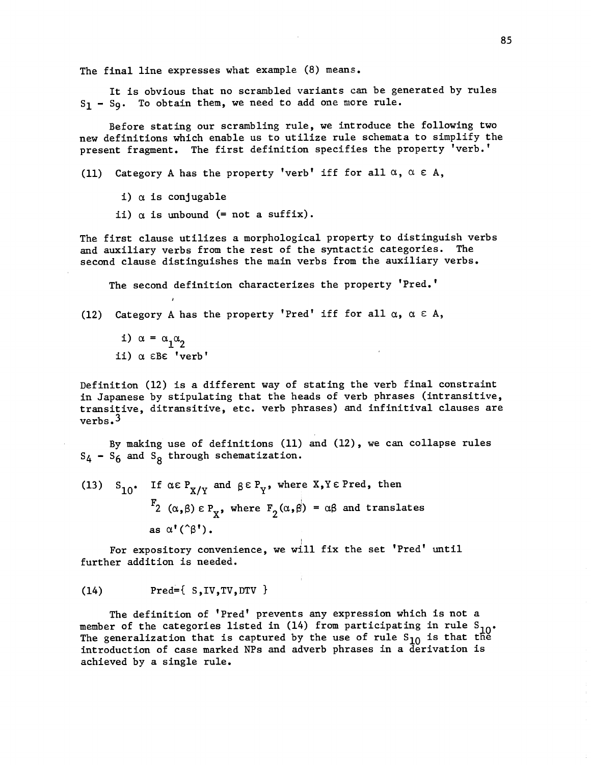The final line expresses what example (8) means.

It is obvious that no scrambled variants can be generated by rules  $S_1$  -  $S_9$ . To obtain them, we need to add one more rule.

Before stating our scrambling rule, we introduce the following two new definitions which enable us to utilize rule schemata to simplify the present fragment. The first definition specifies the property 'verb.'

(11) Category A has the property 'verb' iff for all  $\alpha$ ,  $\alpha \in A$ ,

- i)  $\alpha$  is conjugable
- ii)  $\alpha$  is unbound (= not a suffix).

The first clause utilizes a morphological property to distinguish verbs and auxiliary verbs from the rest of the syntactic categories. The second clause distinguishes the main verbs from the auxiliary verbs.

The second definition characterizes the property 'Pred.'

(12) Category A has the property 'Pred' iff for all  $\alpha$ ,  $\alpha \in A$ ,

i)  $\alpha = \alpha_1 \alpha_2$ ii)  $\alpha$   $\epsilon$ B $\epsilon$  'verb'

Definition (12) is a different way of stating the verb final constraint in Japanese by stipulating that the heads of verb phrases (intransitive, transitive, ditransitive, etc. verb phrases) and infinitival clauses are verbs.3

By making use of definitions (11) and (12), we can collapse rules  $S_4 - S_6$  and  $S_8$  through schematization.

(13) S<sub>10</sub>. If  $\alpha \in P_{X/Y}$  and  $\beta \in P_Y$ , where X, Y  $\epsilon$  Pred, then  $F_2$  ( $\alpha, \beta$ )  $\epsilon$  P<sub>x</sub>, where  $F_2(\alpha, \beta) = \alpha\beta$  and translates as  $\alpha'(\hat{\beta}')$ .

For expository convenience, we will fix the set 'Pred' until further addition is needed.

 $(14)$  Pred= $\{ S, IV, TV, DTV \}$ 

The definition of 'Pred' prevents any expression which is not a member of the categories listed in (14) from participating in rule  $S_{10}$ . The generalization that is captured by the use of rule  $S_{10}$  is that the introduction of case marked NPs and adverb phrases in a derivation is achieved by a single rule.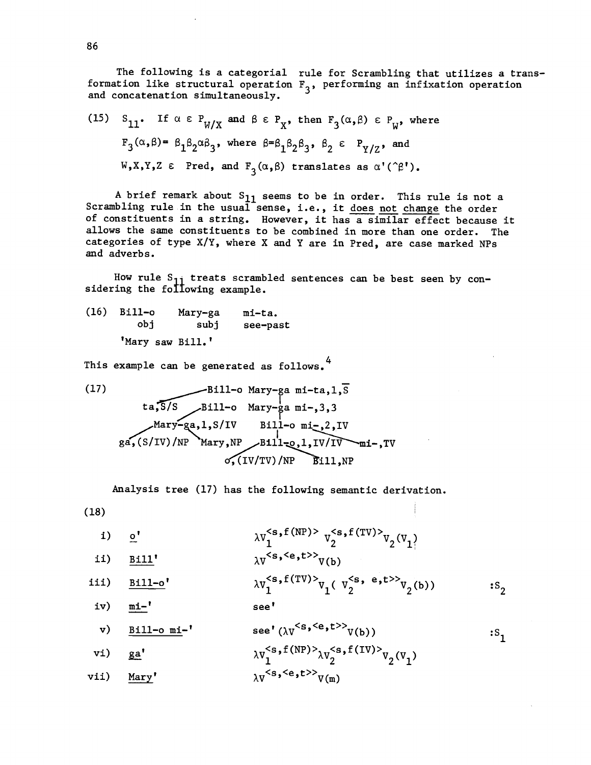The following is a categorial rule for Scrambling that utilizes a transformation like structural operation  $F_3$ , performing an infixation operation and concatenation simultaneously.

(15) 
$$
S_{11}
$$
. If  $\alpha \in P_{W/X}$  and  $\beta \in P_X$ , then  $F_3(\alpha, \beta) \in P_W$ , where  
\n $F_3(\alpha, \beta) = \beta_1 \beta_2 \alpha \beta_3$ , where  $\beta = \beta_1 \beta_2 \beta_3$ ,  $\beta_2 \in P_{Y/Z}$ , and  
\n $W, X, Y, Z \in Pred$ , and  $F_3(\alpha, \beta)$  translates as  $\alpha'(\hat{C}\beta')$ .

A brief remark about  $S_{11}$  seems to be in order. This rule is not a Scrambling rule in the usual sense, i.e., it does not change the order of constituents in a string. However, it has a similar effect because it allows the same constituents to be combined in more than one order. The categories of type  $X/Y$ , where X and Y are in Pred, are case marked NPs and adverbs.

How rule  $S_{1j}$  treats scrambled sentences can be best seen by considering the following example.

 $(16)$  Bill-o Mary-ga mi-ta. obj subj see -past 'Mary saw Bill.'

This example can be generated as follows.<sup>4</sup>

(17)  
\n
$$
Bi11-o \text{ Mary-ga mi-ta,1,\overline{S}}
$$
\nta,  $\overline{S/S}$  Bi11-o Mary-ga mi-, 3, 3  
\nMary-ga,1, S/IV Bi11-o mi-,2,IV  
\nga, (S/IV)/NP Mary, NP Bi11=0,1,IV/IV mi-,TV  
\n0, (IV/TV)/NP Bi11, NP

Analysis tree (17) has the following semantic derivation.

(18)

$$
\begin{array}{ccc}\n\text{i)} & \mathbf{0}^t & \lambda \mathbf{v}_1^{<\mathbf{s},\mathbf{f}(\text{NP})>} & \mathbf{v}_2^{<\mathbf{s},\mathbf{f}(\text{TV})>} & \mathbf{v}_2(\mathbf{v}_1) \\
\text{ii)} & \mathbf{B}^t & \mathbf{0} & \mathbf{v}_1^{<\mathbf{s},\mathbf{s},\mathbf{c}} & \mathbf{0} & \mathbf{0} \\
\end{array}
$$

ii) 
$$
\frac{\text{Bill}'}{\text{iii}} \qquad \qquad \frac{\lambda v^{>}v(b)}{\lambda v_1^{}v_1(v_2^{}v_2(b))}
$$

iv) <u>mi-</u>' see'

v) 
$$
\underline{Bill-o\ mi-}
$$
  
see'  $(\lambda V^{\leq s, \leq e, t>}>V(b))$   
vi)  $\underline{Sill-o\ mi-}$   
by $\underline{Ssl}(NP) > \underline{Ssl}(S(P)) > \underline{Ssl}(S(V)) > \underline{Ssl}(S(V)) > \underline{Ssl}(S(V)) > \underline{Ssl}(S(V)) > \underline{Ssl}(S(V)) > \underline{Ssl}(S(V)) > \underline{Ssl}(S(V)) > \underline{Ssl}(S(V)) > \underline{Ssl}(S(V)) > \underline{Ssl}(S(V)) > \underline{Ssl}(S(V)) > \underline{Ssl}(S(V)) > \underline{Ssl}(S(V)) > \underline{Ssl}(S(V)) > \underline{Ssl}(S(V)) > \underline{Ssl}(S(V)) > \underline{Ssl}(S(V)) > \underline{Ssl}(S(V)) > \underline{Ssl}(S(V)) > \underline{Ssl}(S(V)) > \underline{Ssl}(S(V)) > \underline{Ssl}(S(V)) > \underline{Ssl}(S(V)) > \underline{Ssl}(S(V)) > \underline{Ssl}(S(V)) > \underline{Ssl}(S(V)) > \underline{Ssl}(S(V)) > \underline{Ssl}(S(V)) > \underline{Ssl}(S(V)) > \underline{Ssl}(S(V)) > \underline{Ssl}(S(V)) > \underline{Ssl}(S(V)) > \underline{Ssl}(S(V)) > \underline{Ssl}(S(V)) > \underline{Ssl}(S(V)) > \underline{Ssl}(S(V)) > \underline{Ssl}(S(V)) > \underline{Ssl}(S(V)) > \underline{Ssl}(S(V)) > \underline{Ssl}(S(V)) > \underline{Ssl}(S(V)) > \underline{Ssl}(S(V)) > \underline{Ssl}(S(V)) > \underline{Ssl}(S(V)) > \underline{Ssl}(S(V)) > \underline{Ssl}(S(V)) > \underline{Ssl}(S(V)) > \underline{Ssl}(S(V)) > \underline{Ssl}(S(V)) > \underline{Ssl}(S(V)) > \underline{Ssl}(S(V)) > \underline{Ssl}(S(V)) > \underline{Ssl}(S(V)) > \underline{Ssl}(S(V)) > \underline{Ssl}(S(V)) > \underline{Ssl}(S(V)) > \underline{Ssl}(S(V)) > \underline{Ssl}(S(V)) > \underline{Ssl}(S(V)) > \underline{Ssl}(S(V)) > \underline{Ssl}(S(V)) > \underline{Ssl}(S(V)) > \underline{Ssl}(S(V)) > \underline{Ssl}(S(V)) > \underline{Ssl}(S(V)) > \underline{Ssl}(S(V)) > \underline{Ssl}(S(V)) > \underline{Ssl$ 

 $:$   $S<sub>2</sub>$ 

 $:S_1$ 

$$
\text{vi)} \quad \underline{\mathbf{ga'}} \quad \lambda v_1^{<\mathbf{s},\mathbf{f}(NP)>}\lambda v_2^{<\mathbf{s},\mathbf{f}(IV)>}v_2(v_1)
$$

vii)  $Mary'$   $\lambda V<sup>**s**,**Y**,**t**><sub>V(m)</sub></sup>$ </u>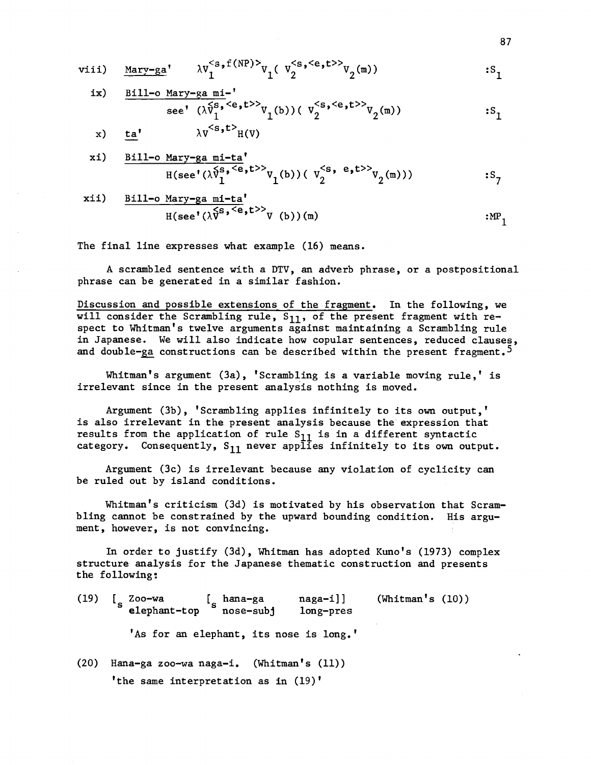$$
\text{viii)} \quad \underline{\text{Mary-ga}}' \quad \lambda v_1^{} v_1(\,v_2^{>} \qquad="" \vdots="" math="" s_1<="" v_2(\mathfrak{m}))="">>}>
$$

ix) 
$$
\frac{\text{Bill}-o \text{ Mary}-ga \text{ mi}-'}{\text{see' } (\lambda \hat{V}_1^{s, \langle e, t \rangle} V_1(b)) (V_2^{
$$

x) ta'  $\lambda v^{\langle s,t\rangle}H(V)$ 

x1) 
$$
\frac{\text{Bill-o Mary-ga mi-ta}^{\text{min-ta}^{\text{min-ta}^{\text{max}}}}{\text{H(see' }(\lambda \hat{V}_1^{s,\langle e,t\rangle>}\mathcal{V}_1^{(b)}) (\mathcal{V}_2^{}\mathcal{V}_2^{(m)}))}; s_7
$$

xii) 
$$
\frac{\text{Bill-o Mary-ga mi-ta'}}{\text{H(see' } (\lambda \overline{V}^{s, < e}, t^{>} V)(b)) (m)} \qquad \qquad \text{MP}_1
$$

The final line expresses what example (16) means.

A scrambled sentence with a DTV, an adverb phrase, or a postpositional phrase can be generated in a similar fashion.

Discussion and possible extensions of the fragment. In the following, we will consider the Scrambling rule, S<sub>11</sub>, of the present fragment with respect to Whitman's twelve arguments against maintaining a Scrambling rule in Japanese. We will also indicate how copular sentences, reduced clauses, and double-ga constructions can be described within the present fragment.<sup>5</sup>

Whitman's argument (3a), 'Scrambling is a variable moving rule,' is irrelevant since in the present analysis nothing is moved.

Argument (3b), 'Scrambling applies infinitely to its own output,' is also irrelevant in the present analysis because the expression that results from the application of rule  $S_{11}$  is in a different syntactic category. Consequently,  $S_{11}$  never applies infinitely to its own output.

Argument (3c) is irrelevant because any violation of cyclicity can be ruled out by island conditions.

Whitman's criticism (3d) is motivated by his observation that Scrambling cannot be constrained by the upward bounding condition. His argument, however, is not convincing.

In order to justify (3d), Whitman has adopted Kuno's (1973) complex structure analysis for the Japanese thematic construction and presents the following:

(19) [ <sup>s</sup> Zoo -wa [ <sup>s</sup> hana -ga naga -i]] elephant -top nose -subj long -pres 'As for an elephant, its nose is long.'  $(20)$  Hana-ga zoo-wa naga-i. (Whitman's  $(11)$ ) (Whitman's (10))

'the same interpretation as in (19)'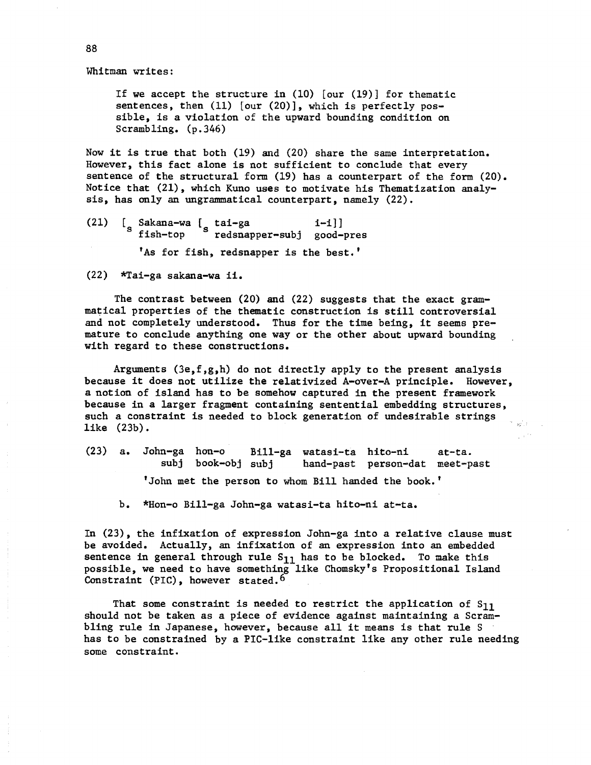Whitman writes:

If we accept the structure in (10) [our (19)] for thematic sentences, then (11) [our (20)], which is perfectly possible, is a violation of the upward bounding condition on Scrambling. (p.346)

Now it is true that both (19) and (20) share the same interpretation. However, this fact alone is not sufficient to conclude that every sentence of the structural form (19) has a counterpart of the form (20). Notice that (21), which Kuno uses to motivate his Thematization analysis, has only an ungrammatical counterpart, namely (22).

(21)  $\begin{bmatrix} \text{Sakana-wa} & \text{tai-ga} \\ \text{s} & \text{tish ten} \end{bmatrix}$  suppose the continuous s fish -top redsnapper -subj good -pres 'As for fish, redsnapper is the best.'

(22) \*Tai-ga sakana-wa ii.

The contrast between (20) and (22) suggests that the exact grammatical properties of the thematic construction is still controversial and not completely understood. Thus for the time being, it seems premature to conclude anything one way or the other about upward bounding with regard to these constructions.

Arguments  $(3e, f, g, h)$  do not directly apply to the present analysis because it does not utilize the relativized A-over-A principle. However, a notion of island has to be somehow captured in the present framework because in a larger fragment containing sentential embedding structures, such a constraint is needed to block generation of undesirable strings like (23b).

(23) a. John-ga hon-o Bill-ga watasi-ta hito-ni at-ta.<br>subj book-obj subj hand-past person-dat meet-p hand-past person-dat meet-past 'John met the person to whom Bill handed the book.'

b. \*Hon-o Bill-ga John-ga watasi-ta hito-ni at-ta.

In  $(23)$ , the infixation of expression John-ga into a relative clause must be avoided. Actually, an infixation of an expression into an embedded sentence in general through rule  $S_{11}$  has to be blocked. To make this possible, we need to have something like Chomsky's Propositional Island Constraint (PIC), however stated.<sup>6</sup>

That some constraint is needed to restrict the application of  $S_{11}$ should not be taken as a piece of evidence against maintaining a Scrambling rule in Japanese, however, because all it means is that rule S has to be constrained by a PIC-like constraint like any other rule needing some constraint.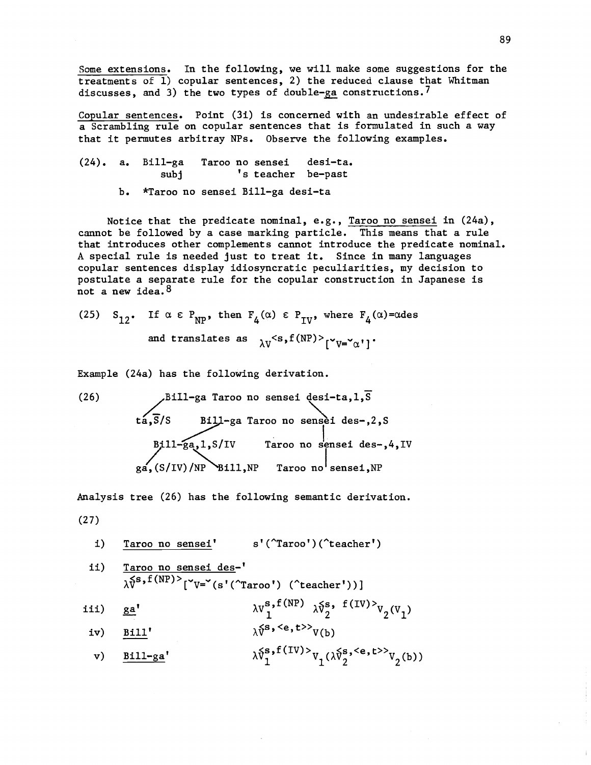Some extensions. In the following, we will make some suggestions for the treatments of 1) copular sentences, 2) the reduced clause that Whitman discusses, and 3) the two types of double-ga constructions.<sup>7</sup>

Copular sentences. Point (3i) is concerned with an undesirable effect of a Scrambling rule on copular sentences that is formulated in such a way that it permutes arbitray NPs. Observe the following examples.

 $(24)$ . a. Bill-ga Taroo no sensei desi-ta. subj  $\qquad \qquad$  's teacher be-past

b. \*Taroo no sensei Bill-ga desi-ta

Notice that the predicate nominal, e.g., Taroo no sensei in (24a), cannot be followed by a case marking particle. This means that a rule that introduces other complements cannot introduce the predicate nominal. A special rule is needed just to treat it. Since in many languages copular sentences display idiosyncratic peculiarities, my decision to postulate a separate rule for the copular construction in Japanese is not a new idea.<sup>8</sup>

(25) S<sub>12</sub>. If  $\alpha \in P_{NP}$ , then  $F_4(\alpha) \in P_{IV}$ , where  $F_4(\alpha) = \alpha$ des and translates as  $\lambda V^{<\mathbf{s},\text{f(NP)}>}[{}^{\text{v}}V{=}{\text{v}}^{\text{v}}]$  .

Example (24a) has the following derivation.

(26) Bill-ga Taroo no sensei desi-ta,1,S tá,S/S Bill-ga Taroo no sensèi des-,2,S 711- gga,1,S /IV Taroo no sensei des -,4,IV ga, (S /IV) /NP Bill,NP Taroo no sensei,NP

Analysis tree (26) has the following semantic derivation.

(27)

i) Taroo no sensei' s'(^Taroo')(^teacher')

$$
\text{if } \frac{\text{Taroo no sensei des}^{-1}}{\lambda \tilde{V}^{\text{S},f(NP)^>}[{}^{\text{v}}V={}^{\text{v}}(s'(\text{Troo'})) (\text{`teacher'}))}
$$

iii) 
$$
ga'
$$
  $\lambda v_1^{s, f(NP)} \lambda v_2^{s, f(IV)} v_2(v_1)$ 

iv) 
$$
\underline{Bill'}
$$
  $\lambda \hat{v}^s, \langle e, t \rangle} v(b)$ 

v) 
$$
\underline{\text{Bill-ga}}'
$$
  $\lambda \tilde{v}_1^{s, f(IV)} v_1(\lambda \tilde{v}_2^{s, \langle e, t \rangle} v_2(b))$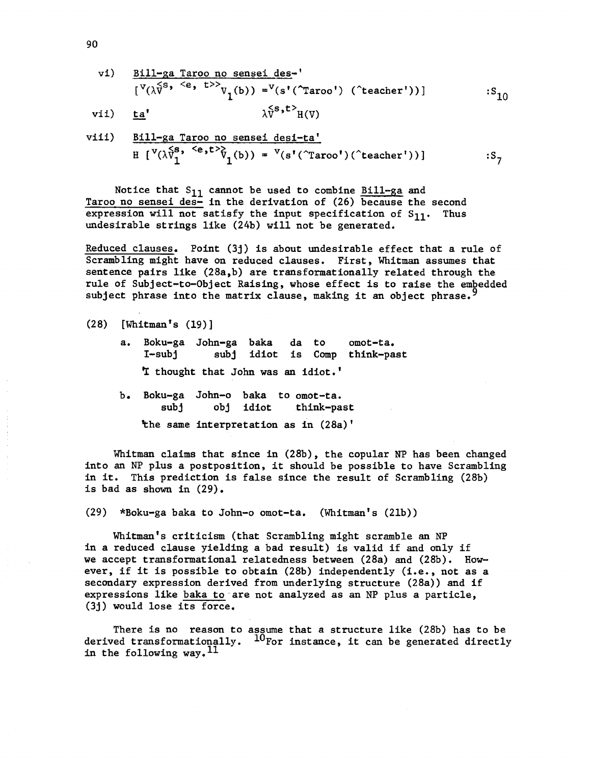vi) 
$$
\frac{B111-ga \text{ Taroo no sensei des}}{[V(\lambda \tilde{v}^s, ^{e}, ^{t>}\nu_1(b)) = V(s'(\text{Troo}')) (\text{`teacher'}))}
$$
 :S<sub>10</sub>  
vii) ta'  $\lambda \tilde{v}^{s,t>}_{H(V)}$ 

$$
\text{viii)} \quad \frac{\text{Bill-ga Taroo no sensei desi-ta'}}{\text{H} [\text{V}(\lambda \bar{\text{V}}_1^{\text{S}}, \text{ }^{\text{C}} \text{e}, \text{t}^{\text{C}} \bar{\text{V}}_1(\text{b})) = \text{V}(\text{s}'(\text{'}\text{Taroo}'))(\text{'}\text{teacher}'))}
$$

Notice that  $S_{11}$  cannot be used to combine Bill-ga and Taroo no sensei des- in the derivation of (26) because the second expression will not satisfy the input specification of  $S_{11}$ . Thus undesirable strings like (24b) will not be generated.

Reduced clauses. Point (3j) is about undesirable effect that a rule of Scrambling might have on reduced clauses. First, Whitman assumes that sentence pairs like  $(28a, b)$  are transformationally related through the rule of Subject-to-Object Raising, whose effect is to raise the embedded subject phrase into the matrix clause, making it an object phrase.<sup>5</sup>

- a. Boku-ga John-ga baka da to omot-ta. I-subj subj idiot is Comp think-past I thought that John was an idiot.'
- b. Boku-ga John-o baka to omot-ta. subj obj idiot think-past

the same interpretation as in (28a)'

Whitman claims that since in (28b), the copular NP has been changed into an NP plus a postposition, it should be possible to have Scrambling in it. This prediction is false since the result of Scrambling (28b) is bad as shown in (29).

(29) \*Boku-ga baka to John-o omot-ta. (Whitman's (21b))

Whitman's criticism (that Scrambling might scramble an NP in a reduced clause yielding a bad result) is valid if and only if we accept transformational relatedness between (28a) and (28b). However, if it is possible to obtain (28b) independently (i.e., not as a secondary expression derived from underlying structure (28a)) and if expressions like baka to are not analyzed as an NP plus a particle, (3j) would lose its force.

There is no reason to assume that a structure like (28b) has to be derived transformationally.  $10^{frac}$  For instance, it can be generated directly in the following way.  $^{11}$ 

<sup>(28)</sup> [Whitman's (19)]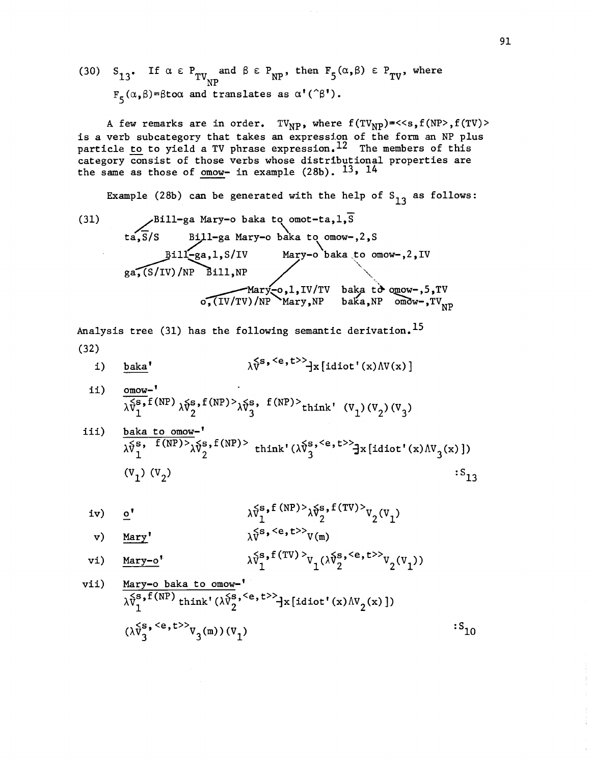(30) 
$$
S_{13}
$$
. If  $\alpha \in P_{TV_{NP}}$  and  $\beta \in P_{NP}$ , then  $F_5(\alpha, \beta) \in P_{TV}$ , where  $F_5(\alpha, \beta) = \beta$  to  $\alpha$  and translates as  $\alpha'(\hat{\beta}')$ .

A few remarks are in order. TV<sub>NP</sub>, where  $f(TV_{NP}) = << s$ ,  $f(NP> E(TV)) >$ is a verb subcategory that takes an expression of the form an NP plus particle <u>to</u> to yield a TV phrase expression.<sup>12</sup> The members of this category consist of those verbs whose distributional properties are the same as those of omow- in example (28b).  $^{13}$ ,  $^{14}$ 

Example (28b) can be generated with the help of  $S_{13}$  as follows:

(31) 
$$
Bill-ga Mary-o baka to omot-ta, 1, 8
$$
ta, 8/S
$$
Bill-ga Mary-o baka to omow-, 2, 8
$$
Bill-ga, 1, S/IV Mary-o baka to omow-, 2, IV  
ga, (S/IV)/NP Bill, NP  
Mary-o, l, IV/TV baka to omow-, 5, TV  
o, (IV/TV)/NP Mary, NP baka, NP omow-, TV<sub>NP</sub>

Analysis tree (31) has the following semantic derivation.<sup>15</sup> (32)

i) 
$$
\underline{\text{baka}}
$$
<sup>†</sup>  $\lambda \hat{V}^{S, \langle e, t \rangle} \hat{d}x [\text{idiot}'(x) \Lambda V(x)]$ 

ii) omow-'  $\sqrt{\lambda_{1}^{S}}$ f(NP)  $\lambda_{2}^{S}$ , f(NP)  $\lambda_{3}^{S}$ , f(NP) think' (V<sub>1</sub>)(V<sub>2</sub>)(V<sub>3</sub>)

$$
\begin{array}{ll}\n\text{is} & \text{if } \mathbf{X} \text{ is a non-} \\
\frac{\lambda \delta s}{\lambda} \mathbf{y}^{\mathbf{S}} \cdot \mathbf{f}(\mathbf{X} \mathbf{P}) > \\
\frac{\lambda \delta s}{\lambda} \mathbf{y}^{\mathbf{S}} \cdot \mathbf{f}(\mathbf{X} \mathbf{P}) > \\
\mathbf{y} & \mathbf{y} \\
\mathbf{y} & \mathbf{y} \\
\mathbf{y} & \mathbf{y}\n\end{array}
$$

iv) 
$$
\underline{o'}
$$
  $\lambda \tilde{v}_1^{s, f (NP) >} \lambda \tilde{v}_2^{s, f (TV) >} v_2(v_1)$ 

v) 
$$
\underline{\text{Mary}}'
$$
  $\lambda \overline{V}^S$ ,  $\langle e, t \rangle$   $\gamma$  (m)

vi) 
$$
\underline{\text{Mary}-o}}^{\bullet} \qquad \lambda \tilde{v}_1^{s, f(TV)} \gamma_1(\lambda \tilde{v}_2^{s, \langle e, t \rangle} v_2(v_1))
$$

$$
\begin{array}{ll}\n\text{vii)} & \frac{\text{Mary}-\text{o} \text{ baka to onow}}{\lambda \tilde{V}_1^{\text{S}}, f(\text{NP}) \text{ think} \cdot (\lambda \tilde{V}_2^{\text{S}}, \text{e}, t >> \text{1} \times [\text{idiot} \cdot (\text{x}) \text{ N} \text{ V}_2(\text{x})])} \\
& (\lambda \tilde{V}_3^{\text{S}}, \text{e}, t >> \text{V}_3(\text{m})) (\text{V}_1)\n\end{array} \n\quad \text{.S}_{10}
$$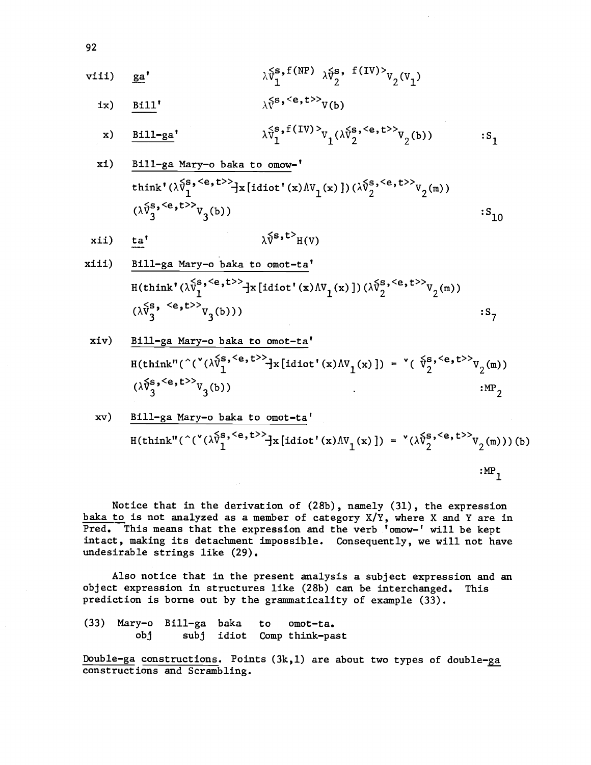$$
\begin{array}{lll}\n\text{viii)} & \underline{\mathbf{ga}}^{\mathbf{t}} & \lambda \hat{\mathbf{v}}_1^{\mathbf{s},\text{f(NP)}} & \lambda \hat{\mathbf{v}}_2^{\mathbf{s},\text{ f(IV)}>} & \mathbf{v}_2(\mathbf{v}_1)\n\end{array}
$$

ix) Bill'  $\lambda \tilde{V}^{s, \langle e, t \rangle>}$ V(b) (b)

x) 
$$
\underline{\text{Bill-ga}}
$$
,  $\lambda \tilde{v}_1^s$ ,  $f(IV) > v_1(\lambda \tilde{v}_2^s, > v_2(b))$  :S<sub>1</sub>

xi) Bill -ga Mary -o baka to omow -' think' '' s' <e, <sup>t</sup>»x [idiot' (x) AVl (x) ]) (AV2' <e' t »V2 (m) ) (a3' <e,t :S10

$$
xii) \quad \underline{ta'} \qquad \qquad \lambda \hat{v}^{s,t} \quad H(V)
$$

xiii) 
$$
\frac{\text{Bill-ga Mary-o baka to omot-ta'}}{\text{H(think'}(\lambda \tilde{v}_1^s, \langle e, t \rangle)} \cdot \text{H}(t) \cdot (\lambda \tilde{v}_1^s, \langle e, t \rangle)} \cdot \text{H}(t) \cdot (\lambda \tilde{v}_1^s, \langle e, t \rangle)} \cdot (\lambda \tilde{v}_3^s, \langle e, t \rangle)} \cdot (S_7)
$$

xiv) Bill-ga Mary-o baka to omot-ta  
\n
$$
H(think"(\hat{C}(\hat{V}(\hat{V}^{s,\langle e,t\rangle)}_{1})\times[H(\hat{V}^{s,\langle e,t\rangle}_{1})\times[H(\hat{V}^{s,\langle e,t\rangle}_{1})\times[H(\hat{V}^{s,\langle e,t\rangle}_{2})\times[H(\hat{V}^{s,\langle e,t\rangle}_{2})\times[H(\hat{V}^{s,\langle e,t\rangle}_{2})\times[H(\hat{V}^{s,\langle e,t\rangle}_{2})\times[H(\hat{V}^{s,\langle e,t\rangle}_{2})\times[H(\hat{V}^{s,\langle e,t\rangle}_{2})\times[H(\hat{V}^{s,\langle e,t\rangle}_{2})\times[H(\hat{V}^{s,\langle e,t\rangle}_{2})\times[H(\hat{V}^{s,\langle e,t\rangle}_{2})\times[H(\hat{V}^{s,\langle e,t\rangle}_{2})\times[H(\hat{V}^{s,\langle e,t\rangle}_{2})\times[H(\hat{V}^{s,\langle e,t\rangle}_{2})\times[H(\hat{V}^{s,\langle e,t\rangle}_{2})\times[H(\hat{V}^{s,\langle e,t\rangle}_{2})\times[H(\hat{V}^{s,\langle e,t\rangle}_{2})\times[H(\hat{V}^{s,\langle e,t\rangle}_{2})\times[H(\hat{V}^{s,\langle e,t\rangle}_{2})\times[H(\hat{V}^{s,\langle e,t\rangle}_{2})\times[H(\hat{V}^{s,\langle e,t\rangle}_{2})\times[H(\hat{V}^{s,\langle e,t\rangle}_{2})\times[H(\hat{V}^{s,\langle e,t\rangle}_{2})\times[H(\hat{V}^{s,\langle e,t\rangle}_{2})\times[H(\hat{V}^{s,\langle e,t\rangle}_{2})\times[H(\hat{V}^{s,\langle e,t\rangle}_{2})\times[H(\hat{V}^{s,\langle e,t\rangle}_{2})\times[H(\hat{V}^{s,\langle e,t\rangle}_{2})\times[H(\hat{V}^{s,\langle e,t\rangle}_{2})\times[H(\hat{V}^{s,\langle e,t\rangle}_{2})\times[H(\hat{V}^{s,\langle e,t\rangle}_{2})\times[H(\hat{V}^{s,\langle e,t\rangle}_{2})\times[H(\hat{V}^{s,\langle e,t\rangle}_{2})\times[H(\hat{V}^{s,\langle e,t\rangle}_{2})\times[H(\hat{V}^{s,\langle e,t\rangle}_{2})\times[H(\hat{V}^{s,\langle e,t\rangle}_{2})\times[H(\hat{V}^{s,\langle e,t\rangle}_{2})\
$$

xv) Bill-ga Mary-o baka to omot-ta  
\n
$$
H(think"(\hat{C}(\sqrt{x})^s, \langle e, t \rangle) = \left( \sqrt{x}^s \cdot \langle e, t \rangle^s \right) \left( \sqrt{x}^s \cdot \langle e, t \rangle^s \right)
$$
\n
$$
= \left( \sqrt{x}^s \cdot \langle e, t \rangle^s \right) \left( \sqrt{x}^s \cdot \langle e, t \rangle^s \right)
$$
\n
$$
= \left( \sqrt{x}^s \cdot \langle e, t \rangle^s \right)
$$
\n
$$
= \left( \sqrt{x}^s \cdot \langle e, t \rangle^s \right)
$$
\n
$$
= \left( \sqrt{x}^s \cdot \langle e, t \rangle^s \right)
$$
\n
$$
= \left( \sqrt{x}^s \cdot \langle e, t \rangle^s \right)
$$
\n
$$
= \left( \sqrt{x}^s \cdot \langle e, t \rangle^s \right)
$$

Notice that in the derivation of (28b), namely (31), the expression baka to is not analyzed as a member of category  $X/Y$ , where X and Y are in Pred. This means that the expression and the verb 'omow-' will be kept intact, making its detachment impossible. Consequently, we will not have undesirable strings like (29).

Also notice that in the present analysis a subject expression and an object expression in structures like (28b) can be interchanged. This prediction is borne out by the grammaticality of example (33).

(33) Mary-o Bill-ga baka to omot-ta. obj subj idiot Comp think-past

Double-ga constructions. Points  $(3k,1)$  are about two types of double-ga constructions and Scrambling.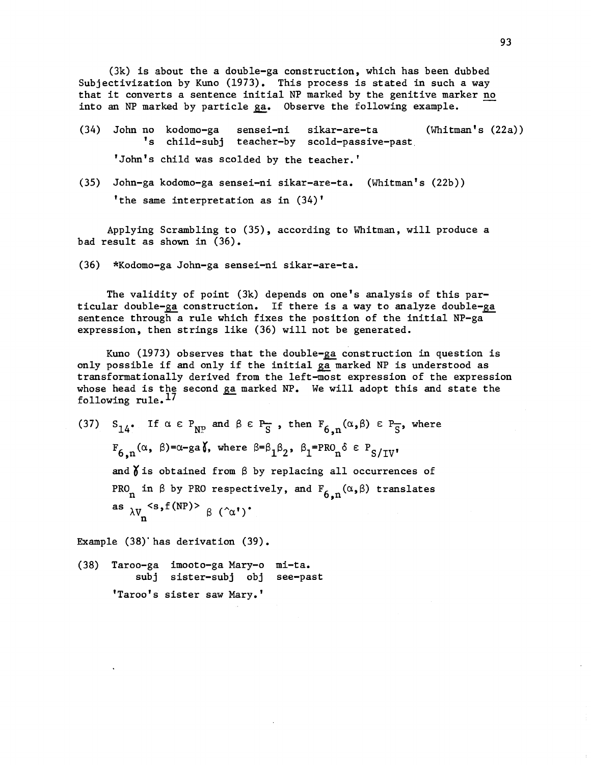$(3k)$  is about the a double-ga construction, which has been dubbed Subjectivization by Kuno (1973). This process is stated in such a way that it converts a sentence initial NP marked by the genitive marker no into an NP marked by particle ga. Observe the following example.

- (34) John no kodomo-ga sensei-ni sikar-are-ta (Whitman's (22a)) 's child-subj teacher-by scold-passive-past 'John's child was scolded by the teacher.'
- (35) John-ga kodomo-ga sensei-ni sikar-are-ta. (Whitman's (22b)) 'the same interpretation as in (34)'

Applying Scrambling to (35), according to Whitman, will produce a bad result as shown in (36).

(36) \*Kodomo-ga John-ga sensei-ni sikar-are-ta.

The validity of point (3k) depends on one's analysis of this particular double-ga construction. If there is a way to analyze double-ga sentence through a rule which fixes the position of the initial NP-ga expression, then strings like (36) will not be generated.

Kuno (1973) observes that the double-ga construction in question is only possible if and only if the initial ga marked NP is understood as transformationally derived from the left -most expression of the expression whose head is the second ga marked NP. We will adopt this and state the following rule.17

(37)  $S_{14}$ . If  $\alpha \in P_{NP}$  and  $\beta \in P_{S}$ , then  $F_{6,n}(\alpha,\beta) \in P_{S}$ , where  $F_{6,n}(\alpha, \beta)$ =a-ga(, where  $\beta$ = $\beta_1\beta_2$ ,  $\beta_1$ =PRO<sub>n</sub>o  $\epsilon$  P<sub>S/IV</sub>' and  $\delta$  is obtained from  $\beta$  by replacing all occurrences of PRO<sub>n</sub> in  $\beta$  by PRO respectively, and  $F_{6,n}(\alpha,\beta)$  translates as  $\lambda V_n^{\langle s, f(NP) \rangle} \beta (\hat{\alpha})$ 

Example (38)'has derivation (39).

(38) Taroo-ga imooto-ga Mary-o mi-ta. subj sister -subj obj see -past 'Taroo's sister saw Mary.'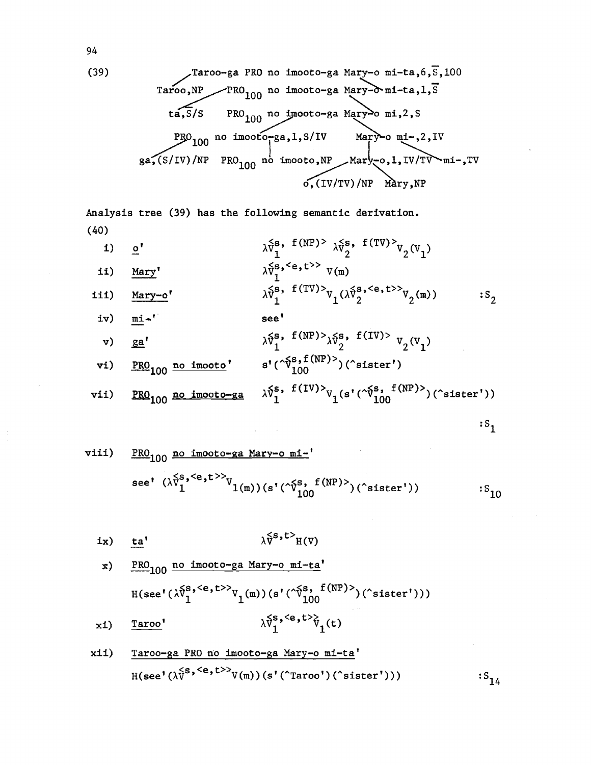(39) /Taroo-ga PRO no imooto-ga Mary-o mi-ta,6,S,100 Taroo,NP PRO100 no imooto-ga Marmi-ta,1,S ta,S/S PRO no no inooto-gaMary o mi ,2 S, 0100 no imootóTga,I,S/IV Mar --o mi-,2,IV ga;(S/IV)/NP PR0104 no imooto,NP Marÿ,o,1,IV/T mi-,TV o;(IV/TV)/NP Máry,NP

Analysis tree (39) has the following semantic derivation. (40)

i) 
$$
\underline{o'}
$$
  
\n $\lambda \tilde{v}_1^s$ ,  $f(NP) > \lambda \tilde{v}_2^s$ ,  $f(TV) > v_2(V_1)$   
\nii) Mary'  $\lambda \tilde{v}_2^s$ ,  $\langle e, t \rangle > v(m)$ 

ii) Mary'  
iii) Mary-o'  

$$
\lambda V_1^S, f(TV) >_{V_1} (\lambda \tilde{V}_2^S, >_{V_2(m)})
$$

$$
\ldots
$$

$$
S_2
$$

iv) 
$$
\underline{\text{mi}}^{\star}
$$
  
\nve)  $\underline{\text{ga'}}^{\star}$   
\nvi)  $\underline{\text{PRO}}_{100}$  no imooto'  $s'(\hat{\gamma}_{100}^{s,f(NP)})(\text{sister'})$ 

$$
\texttt{vii)} \quad \underline{\texttt{PRO}}_{100} \text{ no imoto-ga} \quad \lambda \tilde{v}_1^{\texttt{s}}, \text{ f(IV)}\\ \gamma_1(\texttt{s}'(\tilde{v}_{100}^{\texttt{s}}, \texttt{f(NP)}) (\texttt{`sister'}))
$$

$$
: \mathsf{S}_1
$$

$$
\begin{array}{ll}\n\text{viii)} & \frac{\text{PRO}_{100}}{\text{no imooto-ga Mary-o mi-1}} \\
\text{see'} & (\lambda \tilde{v}_1^{\text{S},\text{}}) \\
\text{ve'} & (\lambda \tilde{v}_1^{\text{S},\text{}}) \\
\text{v1(m)} & (\text{s'}(\tilde{v}_1^{\text{S},\text{f(NP)}})(\text{cister'}))\n\end{array} \quad \text{:S}_{10}
$$

$$
ix) \quad \underline{t}a' \qquad \qquad \lambda \tilde{v}^{s,t>} H(V)
$$

x) PRO<sub>100</sub> no imooto-ga Mary-o mi-ta'  
\n
$$
H(\sec'(\lambda \hat{v}_1^{s,\langle e,t\rangle)} v_1(m))(s'(\hat{v}_1^{s}, f(NP))(\hat{c}(\sqrt{r}^{s}, t)))
$$
  
\nxi)  $\frac{\text{T} \text{aroo'}}{\lambda \hat{v}_1^{s,\langle e,t\rangle} v_1(t)}$ 

$$
\begin{array}{ll}\n\text{min} & \text{trace-ga PRO no imooto-ga Mary-o m1-ta'} \\
\text{H(see' (\lambda \tilde{V}^{s, < e, t >>}V(m)) (s' ("Taroo') ("sister"))) & \text{if } t < t < t \\
\text{min} & \text{diag} & \text{diag} & \text{diag} & \text{diag} & \text{diag} & \text{diag} \\
\text{diag} & \text{diag} & \text{diag} & \text{diag} & \text{diag} & \text{diag} & \text{diag} & \text{diag} \\
\text{diag} & \text{diag} & \text{diag} & \text{diag} & \text{diag} & \text{diag} & \text{diag} & \text{diag} & \text{diag} & \text{diag} & \text{diag} & \text{diag} & \text{diag} & \text{diag} & \text{diag} & \text{diag} & \text{diag} & \text{diag} & \text{diag} & \text{diag} & \text{diag} & \text{diag} & \text{diag} & \text{diag} & \text{diag} & \text{diag} & \text{diag} & \text{diag} & \text{diag} & \text{diag} & \text{diag} & \text{diag} & \text{diag} & \text{diag} & \text{diag} & \text{diag} & \text{diag} & \text{diag} & \text{diag} & \text{diag} & \text{diag} & \text{diag} & \text{diag} & \text{diag} & \text{diag} & \text{diag} & \text{diag} & \text{diag} & \text{diag} & \text{diag} & \text{diag} & \text{diag} & \text{diag} & \text{diag} & \text{diag} & \text{diag} & \text{diag} & \text{diag} & \text{diag} & \text{diag} & \text{diag} & \text{diag} & \text{diag} & \text{diag} & \text{diag} & \text{diag} & \text{diag} & \text{diag} & \
$$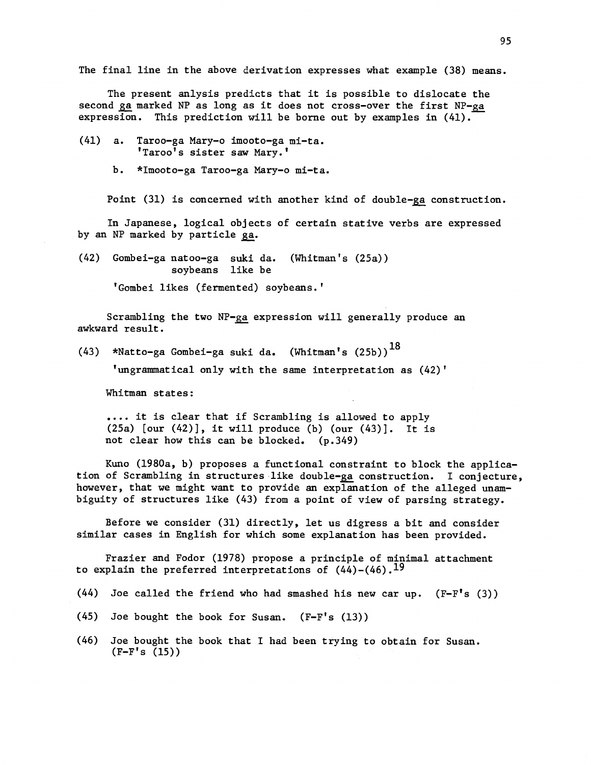The final line in the above derivation expresses what example (38) means.

The present anlysis predicts that it is possible to dislocate the second ga marked NP as long as it does not cross-over the first  $NP-ga$ expression. This prediction will be borne out by examples in  $(41)$ .

- (41) a. Taroo-ga Mary-o imooto-ga mi-ta. 'Taroo's sister saw Mary.'
	- b. \*Imooto-ga Taroo-ga Mary-o mi-ta.

Point  $(31)$  is concerned with another kind of double-ga construction.

In Japanese, logical objects of certain stative verbs are expressed by an NP marked by particle ga.

(42) Gombei-ga natoo-ga suki da. (Whitman's (25a)) soybeans like be

' Gombei likes (fermented) soybeans.'

Scrambling the two NP-ga expression will generally produce an awkward result.

(43) \*Natto-ga Gombei-ga suki da. (Whitman's  $(25b))^{\text{18}}$ 

'ungrammatical only with the same interpretation as (42)'

Whitman states:

.... it is clear that if Scrambling is allowed to apply  $(25a)$  [our  $(42)$ ], it will produce (b) (our  $(43)$ ]. It is not clear how this can be blocked. (p.349)

Kuno (1980a, b) proposes a functional constraint to block the application of Scrambling in structures like double-ga construction. I conjecture, however, that we might want to provide an explanation of the alleged unambiguity of structures like (43) from a point of view of parsing strategy.

Before we consider (31) directly, let us digress a bit and consider similar cases in English for which some explanation has been provided.

Frazier and Fodor (1978) propose a principle of minimal attachment to explain the preferred interpretations of  $(44)-(46)$ .<sup>19</sup>

- $(44)$  Joe called the friend who had smashed his new car up.  $(F F's (3))$
- (45) Joe bought the book for Susan.  $(F-F's (13))$
- (46) Joe bought the book that I had been trying to obtain for Susan.  $(F - F's (15))$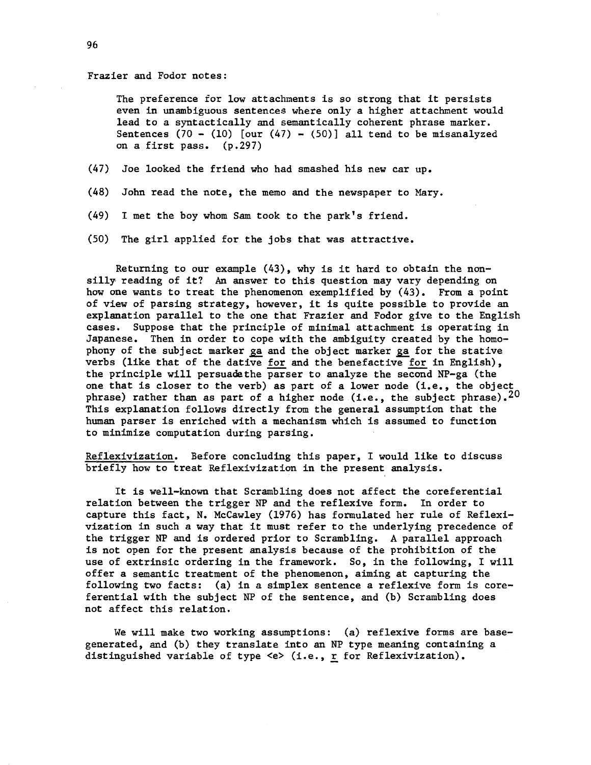## Frazier and Fodor notes:

The preference for low attachments is so strong that it persists even in unambiguous sentences where only a higher attachment would lead to a syntactically and semantically coherent phrase marker. Sentences  $(70 - (10)$  [our  $(47) - (50)$ ] all tend to be misanalyzed on a first pass. (p.297)

- (47) Joe looked the friend who had smashed his new car up.
- (48) John read the note, the memo and the newspaper to Mary.
- (49) I met the boy whom Sam took to the park's friend.
- (50) The girl applied for the jobs that was attractive.

Returning to our example  $(43)$ , why is it hard to obtain the nonsilly reading of it? An answer to this question may vary depending on how one wants to treat the phenomenon exemplified by (43). From a point of view of parsing strategy, however, it is quite possible to provide an explanation parallel to the one that Frazier and Fodor give to the English cases. Suppose that the principle of minimal attachment is operating in Japanese. Then in order to cope with the ambiguity created by the homophony of the subject marker ga and the object marker ga for the stative verbs (like that of the dative for and the benefactive for in English), the principle will persuade the parser to analyze the second NP-ga (the one that is closer to the verb) as part of a lower node (i.e., the object phrase) rather than as part of a higher node (i.e., the subject phrase).  $20$ This explanation follows directly from the general assumption that the human parser is enriched with a mechanism which is assumed to function to minimize computation during parsing.

Reflexivization. Before concluding this paper, I would like to discuss briefly how to treat Reflexivization in the present analysis.

It is well -known that Scrambling does not affect the coreferential relation between the trigger NP and the reflexive form. In order to capture this fact, N. McCawley (1976) has formulated her rule of Reflexivization in such a way that it must refer to the underlying precedence of the trigger NP and is ordered prior to Scrambling. A parallel approach is not open for the present analysis because of the prohibition of the use of extrinsic ordering in the framework. So, in the following, I will offer a semantic treatment of the phenomenon, aiming at capturing the following two facts: (a) in a simplex sentence a reflexive form is coreferential with the subject NP of the sentence, and (b) Scrambling does not affect this relation.

We will make two working assumptions:  $(a)$  reflexive forms are basegenerated, and (b) they translate into an NP type meaning containing a distinguished variable of type <e> (i.e., r for Reflexivization).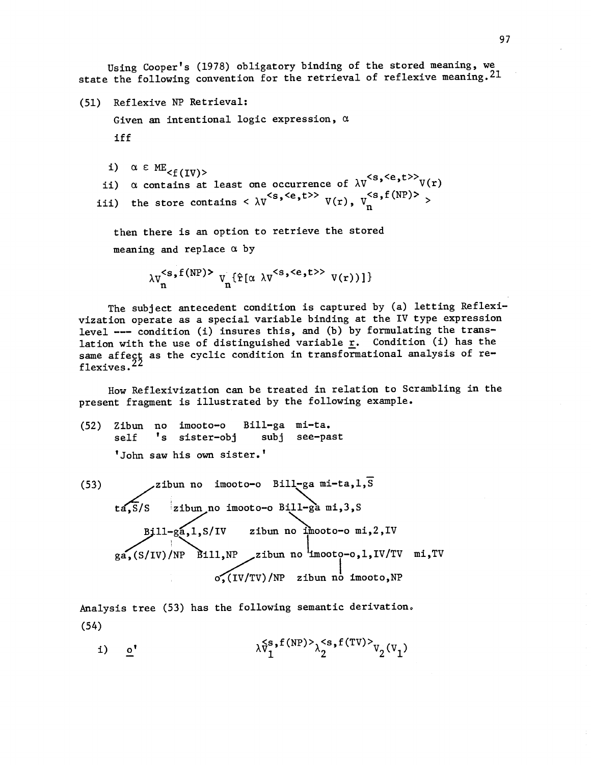Using Cooper's (1978) obligatory binding of the stored meaning, we state the following convention for the retrieval of reflexive meaning. 21

(51) Reflexive NP Retrieval:

Given an intentional logic expression,  $\alpha$ iff

i)  $\alpha \in ME_{\leq f(IV)}$ 

 $\langle f(IV) \rangle$ ii)  $\alpha$  contains at least one occurrence of  $\lambda V$   $\alpha$   $V(r)$ iii) the store contains  $\langle \lambda V \rangle$  $\langle s, \langle e, t \rangle \rangle$   $V(r), V_n^{\langle s, f(NP) \rangle}$ 

then there is an option to retrieve the stored meaning and replace  $\alpha$  by

```
\lambda V_n^{\leq s, f(NP)} \nabla_n {\hat{r}[\alpha \lambda V^{\leq s, \leq e, t>>} V(r))]}
```
The subject antecedent condition is captured by (a) letting Reflexivization operate as a special variable binding at the IV type expression level --- condition (i) insures this, and (b) by formulating the translation with the use of distinguished variable  $\underline{r}$ . Condition (i) has the same affect as the cyclic condition in transformational analysis of reflexives.<sup>22</sup>

How Reflexivization can be treated in relation to Scrambling in the present fragment is illustrated by the following example.

- (52) Zibun no imooto-o Bill-ga mi-ta. self 's sister-obj subj see-past 'John saw his own sister.'
- (53)  $\qquad \qquad \qquad$ zibun no imooto-o Bill-ga mi-ta, l, s ta,S/S zibun no imooto-o Bill-ga mi,3,S B}11-ga,1,S/IV zibun no imooto-o mi,2,IV  $g_{a}$ , (S/IV)/NP Bill, NP zibun no imooto-o, 1, IV/TV mi, TV  $\overline{O_2(IV/TV)/NP}$  zibun no imooto, NP

Analysis tree (53) has the following semantic derivation, (54)

i) o'  $\lambda_{V_1}^{S}$ , f(NP) $\lambda_2^{S}$ , f(TV) $\lambda_{V_2}^{V}(V_1)$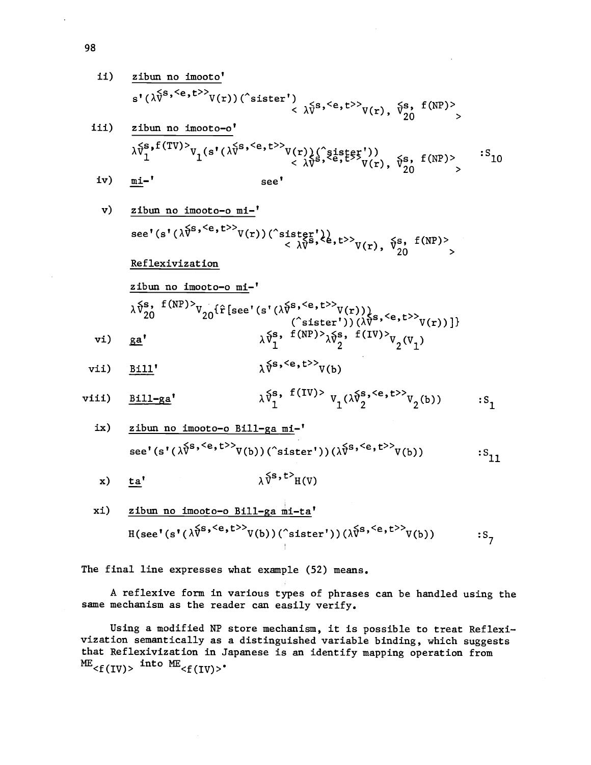ii) 
$$
\frac{\text{zibun no imoto'}}{\text{s'}(\lambda \tilde{V}^{\text{s},\langle e,t\rangle>}V(r))}(\hat{S}^{\text{isfer'}}) \times \lambda \tilde{V}^{\text{s},\langle e,t\rangle>}V(r), \tilde{V}^{\text{s}}_{20}, f(NP) \times \text{zibun no imoto-o'}
$$
  
\niii)  $\frac{\text{zibun no imoto-o'}}{\lambda \tilde{V}^{\text{s},f}(TV)}V_1(\text{s'}(\lambda \tilde{V}^{\text{s},\langle e,t\rangle>}V(r))(\hat{S}^{\text{is}}_{1},\hat{E}^{\text{is}}_{2},\hat{E}^{\text{is}}_{2},\hat{E}^{\text{is}}_{2},\hat{E}^{\text{is}}_{2},\hat{E}^{\text{is}},\hat{E}^{\text{is}},\hat{E}^{\text{is}}_{2},\hat{E}^{\text{is}}_{2},\hat{E}^{\text{is}}_{2},\hat{E}^{\text{is}}_{2},\hat{E}^{\text{is}}_{2},\hat{E}^{\text{is}}_{2},\hat{E}^{\text{is}}_{2},\hat{E}^{\text{is}}_{2},\hat{E}^{\text{is}}_{2},\hat{E}^{\text{is}}_{2},\hat{E}^{\text{is}}_{2},\hat{E}^{\text{is}}_{2},\hat{E}^{\text{is}}_{2},\hat{E}^{\text{is}}_{2},\hat{E}^{\text{is}}_{2},\hat{E}^{\text{is}}_{2},\hat{E}^{\text{is}}_{2},\hat{E}^{\text{is}}_{2},\hat{E}^{\text{is}}_{2},\hat{E}^{\text{is}}_{2},\hat{E}^{\text{is}}_{2},\hat{E}^{\text{is}}_{2},\hat{E}^{\text{is}}_{2},\hat{E}^{\text{is}}_{2},\hat{E}^{\text{is}}_{2},\hat{E}^{\text{is}}_{2},\hat{E}^{\text{is}}_{2},\hat{E}^{\text{is}}_{2},\hat{E}^{\text{is}}_{2},\hat{E}^{\text{is}}_{2},\hat{E}^{\text{is}}_{2},\hat{E}^{\text{is}}_{2},\hat{E}^{\text{is}}_{2},\hat{E}^{\text{is}}_{2},\hat{E}^{\text{is}}_{2$ 

$$
\lambda \tilde{v}_{1}^{s, f(TV)} v_{1}(s'(\lambda \tilde{v}^{s, \langle e, t \rangle)} v(r)) \langle \tilde{v}_{1}^{s, \langle e, t \rangle} v(r), \tilde{v}_{20}^{s, f(NP)} \rangle \n\approx \text{seV}
$$

v) 
$$
\frac{\text{zibun no imooto-o mi-}'}{\text{see}^{\prime}(s^{\prime}(\lambda^{\sqrt{S}}, \langle e, t \rangle)} \vee(r)) (\hat{c}_{sistgr}^{\prime})} \times \frac{\{e, t \rangle\}}{\lambda \sqrt{S}}, t \geq \lambda \vee \frac{\{e, t \rangle\}}{\lambda \vee \{e, t \rangle}} \times \frac{\{e, t \rangle\}}{\lambda \vee \{e, t \rangle}} \times \frac{\{e, t \rangle\}}{\lambda \vee \{e, t \rangle}} \times \frac{\{e, t \rangle\}}{\lambda \vee \{e, t \rangle}} \times \frac{\{e, t \rangle\}}{\lambda \vee \{e, t \rangle}} \times \frac{\{e, t \rangle\}}{\lambda \vee \{e, t \rangle}} \times \frac{\{e, t \rangle\}}{\lambda \vee \{e, t \rangle}} \times \frac{\{e, t \rangle\}}{\lambda \vee \{e, t \rangle}} \times \frac{\{e, t \rangle\}}{\lambda \vee \{e, t \rangle\}} \times \frac{\{e, t \rangle\}}{\lambda \vee \{e, t \rangle\}} \times \frac{\{e, t \rangle\}}{\lambda \vee \{e, t \rangle\}} \times \frac{\{e, t \rangle\}}{\lambda \vee \{e, t \rangle\}} \times \frac{\{e, t \rangle\}}{\lambda \vee \{e, t \rangle\}} \times \frac{\{e, t \rangle\}}{\lambda \vee \{e, t \rangle\}} \times \frac{\{e, t \rangle\}}{\lambda \vee \{e, t \rangle\}} \times \frac{\{e, t \rangle\}}{\lambda \vee \{e, t \rangle\}} \times \frac{\{e, t \rangle\}}{\lambda \vee \{e, t \rangle\}} \times \frac{\{e, t \rangle\}}{\lambda \vee \{e, t \rangle\}} \times \frac{\{e, t \rangle\}}{\lambda \vee \{e, t \rangle\}} \times \frac{\{e, t \rangle\}}{\lambda \vee \{e, t \rangle\}} \times \frac{\{e, t \rangle\}}{\lambda \vee \{e, t \rangle\}} \times \frac{\{e, t \rangle\}}{\lambda \vee \{e, t \rangle\}} \times \frac{\{e, t \rangle\}}{\lambda \vee \{e, t \rangle\}} \times \frac{\{e, t \rangle\}}{\lambda \vee \{e, t \rangle\}} \times \frac{\{e, t \rangle\}}{\lambda \vee \{e, t \rangle\}} \
$$

zibun no imooto-o mi-'  $\lambda\,\tilde{\nu}_{20}^{\mathbf{s}},\; \begin{array}{l} \mathrm{f}\,(\texttt{NP})\geq\mathrm{V}_{20}\{\hat{\mathrm{r}}\,[\mathrm{see}\textrm{ '}\,(\lambda\tilde{\mathrm{V}}^{\mathbf{s},\,<\mathbf{e}},\mathrm{t}>>\mathrm{V}(\mathrm{r}))\,)\\ (\hat{\mathrm{c}}\,\mathrm{steter\,'})\,(\lambda\tilde{\mathrm{V}}^{\mathbf{s},\,<\mathbf{e}},\mathrm{t}>>\mathrm{V}(\mathrm{r})\,)\} \end{array}$ vi)  $\underline{ga'}$   $\lambda V_1^2$ ,  $\cdots$ ,  $\lambda \overline{v}_1^s$ , f(NP)> $\lambda \overline{v}_2^s$ , f(IV)> $v_2(v_1)$ 

$$
\text{vii)} \quad \frac{\text{Bill}'}{\text{111}'} \quad \lambda^{\{s, < e, t > > } \text{V}(b)}
$$

$$
\text{viii)} \quad \frac{\text{Bill-ga}'}{\text{1}} \qquad \qquad \lambda \tilde{v}_1^{\text{s}, \text{ f(IV)} \text{ v}_1(\lambda \tilde{v}_2^{\text{s}, \text{ < e, t>} \text{v}_2(\text{b}))} \qquad \text{ :s}_1
$$

ix) zibun no imooto-o Bill-ga mi-  
see' 
$$
(s'(\lambda \tilde{v}^{s, >}V(b))(\hat{c}ister'))(\lambda \tilde{v}^{s, }V(b))
$$
 :S<sub>11</sub>

x) 
$$
\underline{ta'}
$$
  $\lambda \hat{v}^{s,t>}_{H(V)}$ 

xi) zibun no imooto-o Bill-ga mi-ta  
H(see'(s'(
$$
\lambda \hat{V}^{s, }
$$
)V(b))("sister'))( $\lambda \hat{V}^{s, }$ )V(b)) :S<sub>7</sub>

The final line expresses what example (52) means.

A reflexive form in various types of phrases can be handled using the same mechanism as the reader can easily verify.

Using a modified NP store mechanism, it is possible to treat Reflexivization semantically as a distinguished variable binding, which suggests that Reflexivization in Japanese is an identify mapping operation from  $^{\text{ME}}$ <f(IV)>  $^{\text{into ME}}$ <f(IV)> $^{\bullet}$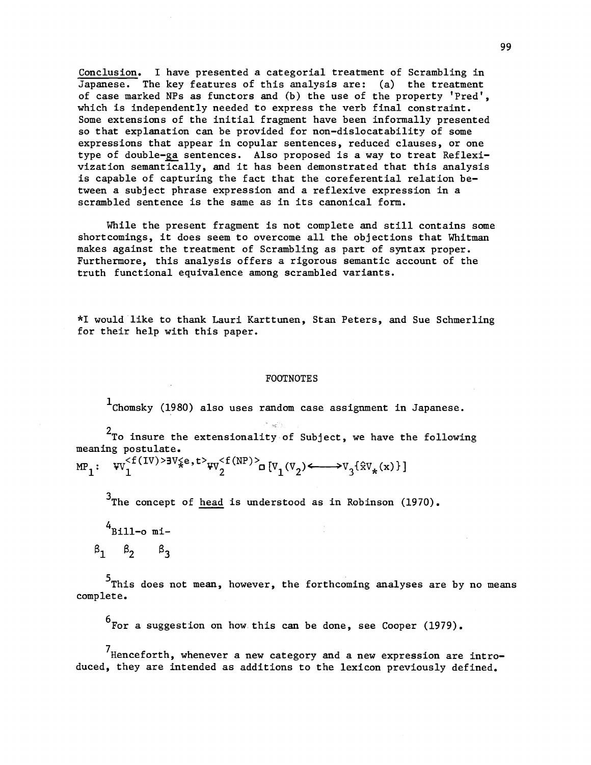Conclusion. I have presented a categorial treatment of Scrambling in Japanese. The key features of this analysis are: (a) the treatment of case marked NPs as functors and (b) the use of the property 'Pred', which is independently needed to express the verb final constraint. Some extensions of the initial fragment have been informally presented so that explanation can be provided for non-dislocatability of some expressions that appear in copular sentences, reduced clauses, or one type of double-ga sentences. Also proposed is a way to treat Reflexivization semantically, and it has been demonstrated that this analysis is capable of capturing the fact that the coreferential relation between a subject phrase expression and a reflexive expression in a scrambled sentence is the same as in its canonical form.

While the present fragment is not complete and still contains some shortcomings, it does seem to overcome all the objections that Whitman makes against the treatment of Scrambling as part of syntax proper. Furthermore, this analysis offers a rigorous semantic account of the truth functional equivalence among scrambled variants.

\*I would like to thank Lauri Karttunen, Stan Peters, and Sue Schmerling for their help with this paper.

## FOOTNOTES

 $1$ Chomsky (1980) also uses random case assignment in Japanese.

 $2$ To insure the extensionality of Subject, we have the following meaning postulate.

 $MP_1: \quad \text{W}_1^{\leq f(IV) > 3V_{\times}^{\leq}e}, t>_{\text{W}_2^{\leq f(NP) > \mathbf{d}}}[V_1(V_2) \leftarrow \rightarrow V_3 \{\hat{\mathbf{x}}V_{\star}(\mathbf{x})\}\}$ 

 $3$ The concept of head is understood as in Robinson (1970).

 $4$ Bill-o mi- $\beta_1$   $\beta_2$   $\beta_3$ 

<sup>5</sup>This does not mean, however, the forthcoming analyses are by no means complete.

 $^6$ For a suggestion on how this can be done, see Cooper (1979).

 $'$ Henceforth, whenever a new category and a new expression are introduced, they are intended as additions to the lexicon previously defined.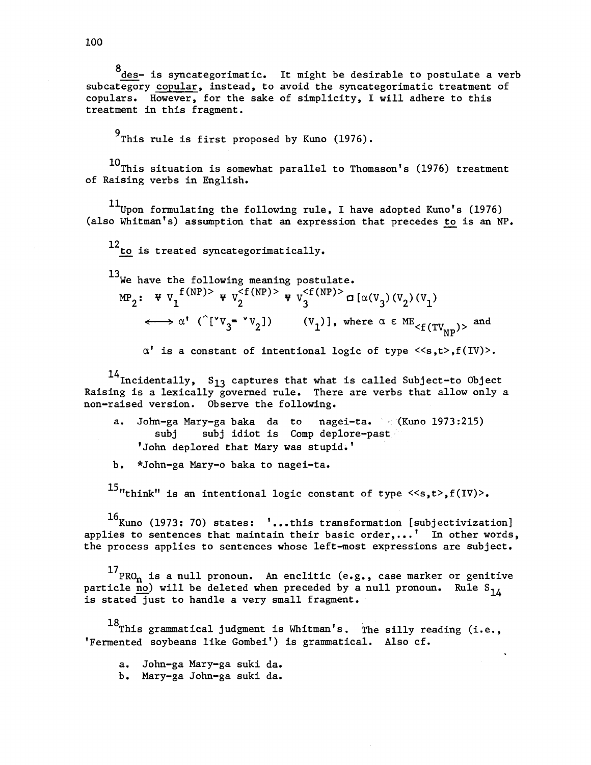8<br>des- is syncategorimatic. It might be desirable to postulate a verb subcategory copular, instead, to avoid the syncategorimatic treatment of copulars. However, for the sake of simplicity, I will adhere to this treatment in this fragment.

9<br>This rule is first proposed by Kuno (1976).

 $10$ This situation is somewhat parallel to Thomason's (1976) treatment of Raising verbs in English.

 $^{11}$ Upon formulating the following rule, I have adopted Kuno's (1976) (also Whitman's) assumption that an expression that precedes to is an NP.

12<sub>to</sub> is treated syncategorimatically.

 $^{13}$ We have the following meaning postulate.  $MP_2$ :  $\Psi V_1^{\text{f}(NP)}$   $\Psi V_2^{\text{f}(NP)}$   $\Psi V_2^{\text{f}(NP)}$   $\Box$   $[\alpha(V_2)(V_2)]$  $f\longleftrightarrow \alpha'$  ( $[VV_3 = V_2]$ ) (V<sub>1</sub>)], where  $\alpha \in ME_{< f(TV_{\text{max}}) >}$  and  $NP'$ 

 $\alpha'$  is a constant of intentional logic of type  $\langle s,t\rangle, f(IV)\rangle$ .

 $^{14}$ Incidentally,  $S_{13}$  captures that what is called Subject-to Object Raising is a lexically governed rule. There are verbs that allow only a non-raised version. Observe the following.

- a. John-ga Mary-ga baka da to nagei-ta. (Kuno 1973:215) subj subj idiot is Comp deplore-past 'John deplored that Mary was stupid.'
- b. \*John-ga Mary-o baka to nagei-ta.

 $^{15}$ "think" is an intentional logic constant of type  $\langle\langle s,t\rangle, f(IV)\rangle$ .

 $^{16}$ Kuno (1973: 70) states: ˈ...this transformation [subjectivization] applies to sentences that maintain their basic order,...' In other words, the process applies to sentences whose left-most expressions are subject.

 $^{17}$ PRO<sub>n</sub> is a null pronoun. An enclitic (e.g., case marker or genitive particle no) will be deleted when preceded by a null pronoun. Rule S<sub>1,</sub> is stated just to handle a very small fragment.

 $18$ This grammatical judgment is Whitman's. The silly reading (i.e., 'Fermented soybeans like Gombei') is grammatical. Also cf.

a. John-ga Mary-ga suki da.

b. Mary-ga John-ga suki da.